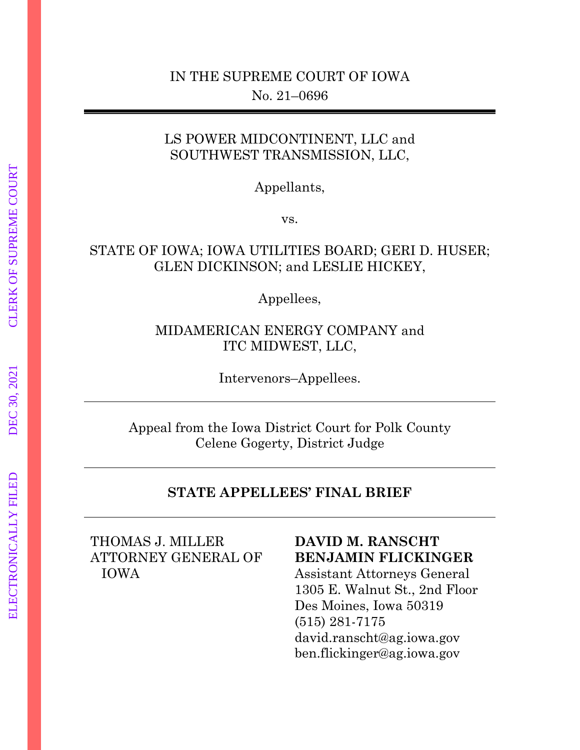## LS POWER MIDCONTINENT, LLC and SOUTHWEST TRANSMISSION, LLC,

Appellants,

vs.

## STATE OF IOWA; IOWA UTILITIES BOARD; GERI D. HUSER; GLEN DICKINSON; and LESLIE HICKEY,

Appellees,

## MIDAMERICAN ENERGY COMPANY and ITC MIDWEST, LLC,

Intervenors–Appellees.

Appeal from the Iowa District Court for Polk County Celene Gogerty, District Judge

### **STATE APPELLEES' FINAL BRIEF**

THOMAS J. MILLER ATTORNEY GENERAL OF IOWA

### **DAVID M. RANSCHT BENJAMIN FLICKINGER**

Assistant Attorneys General 1305 E. Walnut St., 2nd Floor Des Moines, Iowa 50319 (515) 281-7175 david.ranscht@ag.iowa.gov [ben.flickinger@ag.iowa.gov](mailto:ben.flickinger@ag.iowa.gov)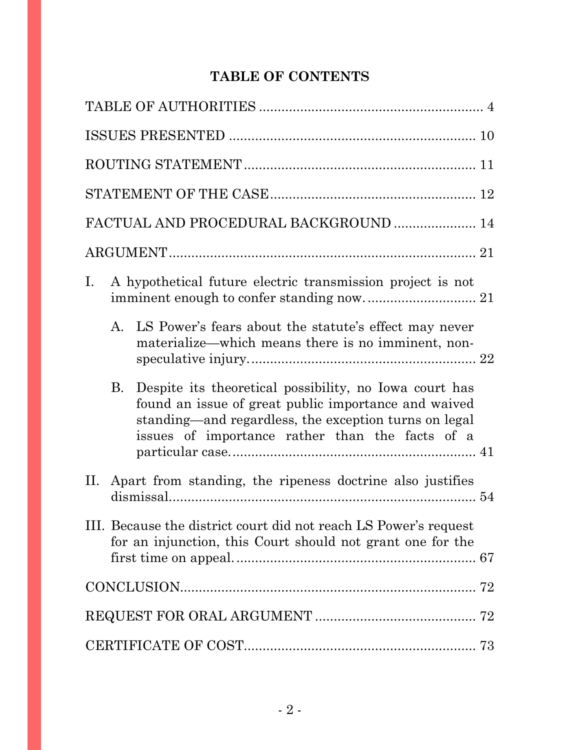# **TABLE OF CONTENTS**

| FACTUAL AND PROCEDURAL BACKGROUND  14                                                                                                                                                                                                   |
|-----------------------------------------------------------------------------------------------------------------------------------------------------------------------------------------------------------------------------------------|
|                                                                                                                                                                                                                                         |
| A hypothetical future electric transmission project is not<br>$I_{\cdot}$                                                                                                                                                               |
| A.<br>LS Power's fears about the statute's effect may never<br>materialize—which means there is no imminent, non-                                                                                                                       |
| Despite its theoretical possibility, no Iowa court has<br><b>B.</b><br>found an issue of great public importance and waived<br>standing—and regardless, the exception turns on legal<br>issues of importance rather than the facts of a |
| II. Apart from standing, the ripeness doctrine also justifies                                                                                                                                                                           |
| III. Because the district court did not reach LS Power's request<br>for an injunction, this Court should not grant one for the                                                                                                          |
|                                                                                                                                                                                                                                         |
|                                                                                                                                                                                                                                         |
|                                                                                                                                                                                                                                         |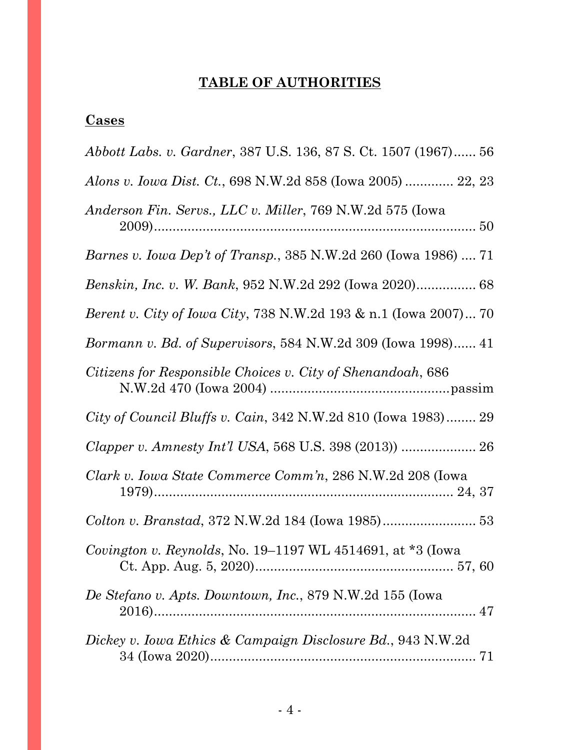# **TABLE OF AUTHORITIES**

## <span id="page-3-0"></span>**Cases**

| Abbott Labs. v. Gardner, 387 U.S. 136, 87 S. Ct. 1507 (1967) 56             |
|-----------------------------------------------------------------------------|
| Alons v. Iowa Dist. Ct., 698 N.W.2d 858 (Iowa 2005)  22, 23                 |
| Anderson Fin. Servs., LLC v. Miller, 769 N.W.2d 575 (Iowa                   |
| <i>Barnes v. Iowa Dep't of Transp.</i> , 385 N.W.2d 260 (Iowa 1986)  71     |
|                                                                             |
| <i>Berent v. City of Iowa City, 738 N.W.2d 193 &amp; n.1 (Iowa 2007) 70</i> |
| <i>Bormann v. Bd. of Supervisors, 584 N.W.2d 309 (Iowa 1998)</i> 41         |
| Citizens for Responsible Choices v. City of Shenandoah, 686                 |
| City of Council Bluffs v. Cain, 342 N.W.2d 810 (Iowa 1983) 29               |
|                                                                             |
| Clark v. Iowa State Commerce Comm'n, 286 N.W.2d 208 (Iowa                   |
|                                                                             |
| <i>Covington v. Reynolds, No.</i> 19–1197 WL 4514691, at $*3$ (lowa         |
| De Stefano v. Apts. Downtown, Inc., 879 N.W.2d 155 (Iowa                    |
| Dickey v. Iowa Ethics & Campaign Disclosure Bd., 943 N.W.2d                 |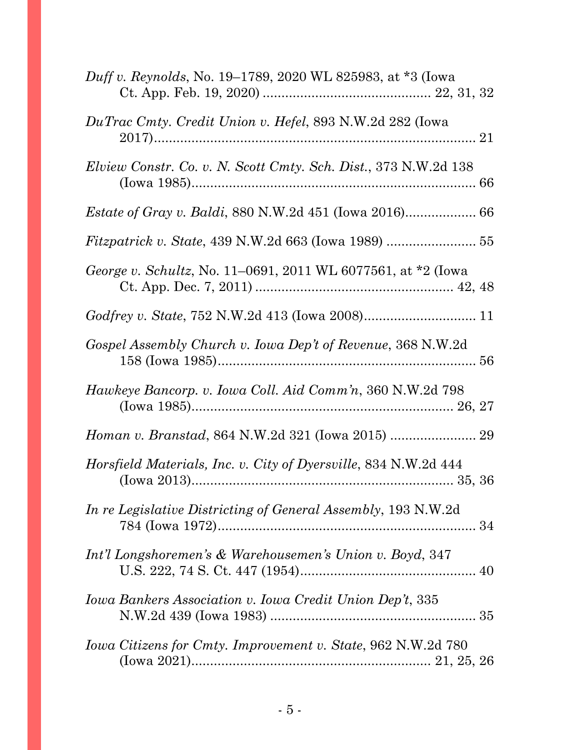| <i>Duff v. Reynolds, No.</i> 19–1789, 2020 WL 825983, at *3 (Iowa      |
|------------------------------------------------------------------------|
| DuTrac Cmty. Credit Union v. Hefel, 893 N.W.2d 282 (Iowa               |
| <i>Elview Constr. Co. v. N. Scott Cmty. Sch. Dist., 373 N.W.2d 138</i> |
|                                                                        |
|                                                                        |
| George v. Schultz, No. 11–0691, 2011 WL 6077561, at *2 (Iowa           |
|                                                                        |
| Gospel Assembly Church v. Iowa Dep't of Revenue, 368 N.W.2d            |
| Hawkeye Bancorp. v. Iowa Coll. Aid Comm'n, 360 N.W.2d 798              |
|                                                                        |
| <i>Horsfield Materials, Inc. v. City of Dyersville, 834 N.W.2d 444</i> |
| <i>In re Legislative Districting of General Assembly, 193 N.W.2d</i>   |
| Int'l Longshoremen's & Warehousemen's Union v. Boyd, 347               |
| Iowa Bankers Association v. Iowa Credit Union Dep't, 335               |
| Iowa Citizens for Cmty. Improvement v. State, 962 N.W.2d 780           |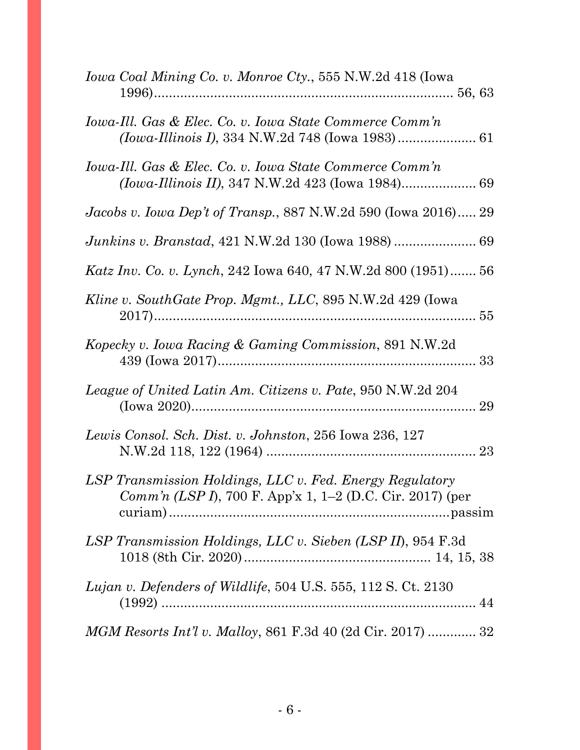| Iowa Coal Mining Co. v. Monroe Cty., 555 N.W.2d 418 (Iowa                                                                     |
|-------------------------------------------------------------------------------------------------------------------------------|
| Iowa-Ill. Gas & Elec. Co. v. Iowa State Commerce Comm'n                                                                       |
| Iowa-Ill. Gas & Elec. Co. v. Iowa State Commerce Comm'n                                                                       |
| <i>Jacobs v. Iowa Dep't of Transp.</i> , 887 N.W.2d 590 (Iowa 2016) 29                                                        |
| Junkins v. Branstad, 421 N.W.2d 130 (Iowa 1988)  69                                                                           |
| Katz Inv. Co. v. Lynch, 242 Iowa 640, 47 N.W.2d 800 (1951) 56                                                                 |
| Kline v. SouthGate Prop. Mgmt., LLC, 895 N.W.2d 429 (Iowa                                                                     |
| Kopecky v. Iowa Racing & Gaming Commission, 891 N.W.2d                                                                        |
| League of United Latin Am. Citizens v. Pate, 950 N.W.2d 204                                                                   |
| Lewis Consol. Sch. Dist. v. Johnston, 256 Iowa 236, 127                                                                       |
| LSP Transmission Holdings, LLC v. Fed. Energy Regulatory<br><i>Comm'n (LSP I)</i> , 700 F. App'x 1, 1–2 (D.C. Cir. 2017) (per |
| LSP Transmission Holdings, LLC v. Sieben (LSP II), 954 F.3d                                                                   |
| Lujan v. Defenders of Wildlife, 504 U.S. 555, 112 S. Ct. 2130                                                                 |
| <i>MGM Resorts Int'l v. Malloy, 861 F.3d 40 (2d Cir. 2017) </i> 32                                                            |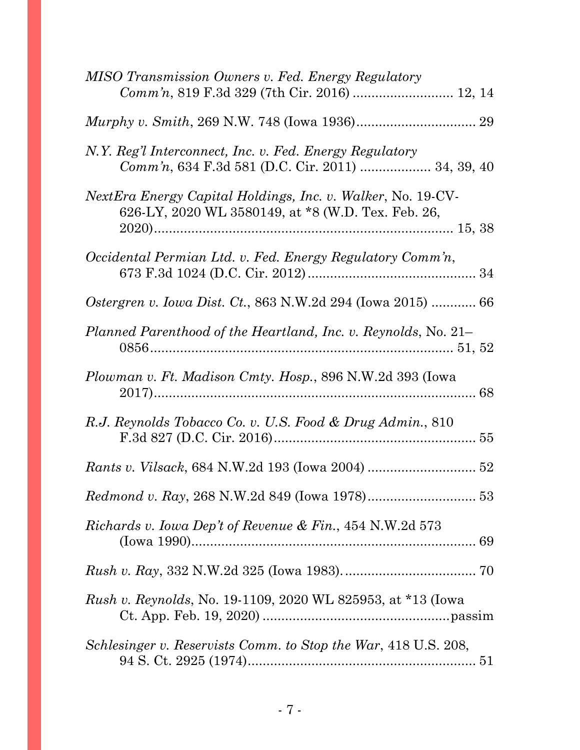| MISO Transmission Owners v. Fed. Energy Regulatory<br>Comm'n, 819 F.3d 329 (7th Cir. 2016)  12, 14                       |
|--------------------------------------------------------------------------------------------------------------------------|
|                                                                                                                          |
| N.Y. Reg'l Interconnect, Inc. v. Fed. Energy Regulatory<br>Comm'n, 634 F.3d 581 (D.C. Cir. 2011)  34, 39, 40             |
| <i>NextEra Energy Capital Holdings, Inc. v. Walker, No. 19-CV-</i><br>626-LY, 2020 WL 3580149, at *8 (W.D. Tex. Feb. 26, |
| Occidental Permian Ltd. v. Fed. Energy Regulatory Comm'n,                                                                |
| <i>Ostergren v. Iowa Dist. Ct., 863 N.W.2d 294 (Iowa 2015)  66</i>                                                       |
| Planned Parenthood of the Heartland, Inc. v. Reynolds, No. 21–                                                           |
| <i>Plowman v. Ft. Madison Cmty. Hosp.</i> , 896 N.W.2d 393 (Iowa                                                         |
| R.J. Reynolds Tobacco Co. v. U.S. Food & Drug Admin., 810                                                                |
|                                                                                                                          |
|                                                                                                                          |
| <i>Richards v. Iowa Dep't of Revenue &amp; Fin., 454 N.W.2d 573</i>                                                      |
|                                                                                                                          |
| <i>Rush v. Reynolds, No.</i> 19-1109, 2020 WL 825953, at *13 (lowa                                                       |
| Schlesinger v. Reservists Comm. to Stop the War, 418 U.S. 208,                                                           |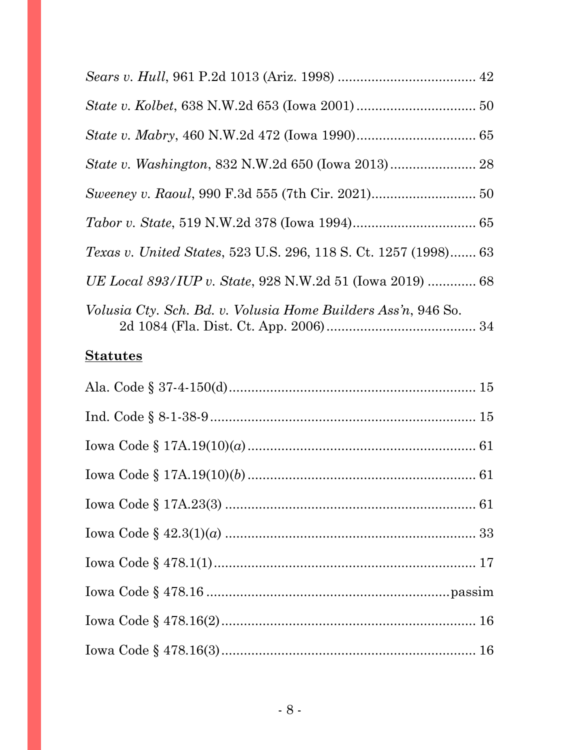| <i>Texas v. United States, 523 U.S. 296, 118 S. Ct. 1257 (1998) 63</i> |  |
|------------------------------------------------------------------------|--|
| UE Local 893/IUP v. State, 928 N.W.2d 51 (Iowa 2019)  68               |  |
| <i>Volusia Cty. Sch. Bd. v. Volusia Home Builders Ass'n, 946 So.</i>   |  |

## **Statutes**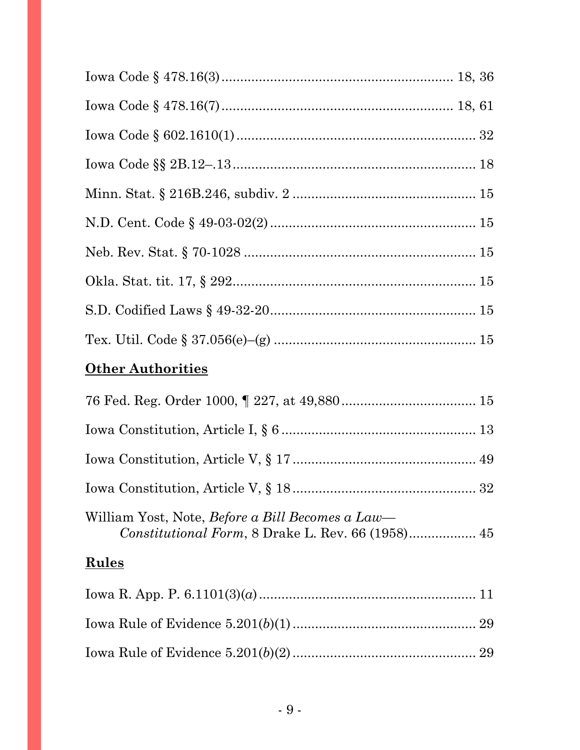# **Other Authorities**

| William Yost, Note, <i>Before a Bill Becomes a Law</i> — |  |
|----------------------------------------------------------|--|

# **Rules**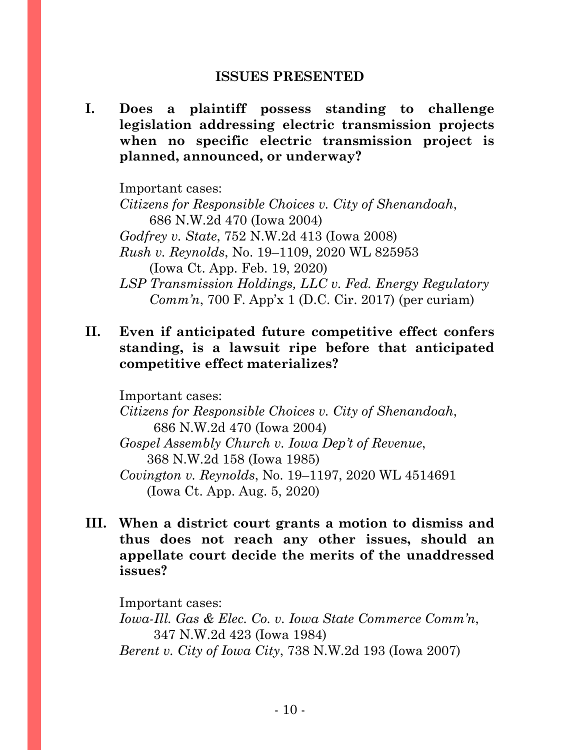### **ISSUES PRESENTED**

<span id="page-9-0"></span>**I. Does a plaintiff possess standing to challenge legislation addressing electric transmission projects when no specific electric transmission project is planned, announced, or underway?**

Important cases: *Citizens for Responsible Choices v. City of Shenandoah*, 686 N.W.2d 470 (Iowa 2004) *Godfrey v. State*, 752 N.W.2d 413 (Iowa 2008) *Rush v. Reynolds*, No. 19–1109, 2020 WL 825953 (Iowa Ct. App. Feb. 19, 2020) *LSP Transmission Holdings, LLC v. Fed. Energy Regulatory Comm'n*, 700 F. App'x 1 (D.C. Cir. 2017) (per curiam)

## **II. Even if anticipated future competitive effect confers standing, is a lawsuit ripe before that anticipated competitive effect materializes?**

Important cases:

*Citizens for Responsible Choices v. City of Shenandoah*, 686 N.W.2d 470 (Iowa 2004)

*Gospel Assembly Church v. Iowa Dep't of Revenue*, 368 N.W.2d 158 (Iowa 1985) *Covington v. Reynolds*, No. 19–1197, 2020 WL 4514691

(Iowa Ct. App. Aug. 5, 2020)

**III. When a district court grants a motion to dismiss and thus does not reach any other issues, should an appellate court decide the merits of the unaddressed issues?**

Important cases: *Iowa-Ill. Gas & Elec. Co. v. Iowa State Commerce Comm'n*, 347 N.W.2d 423 (Iowa 1984) *Berent v. City of Iowa City*, 738 N.W.2d 193 (Iowa 2007)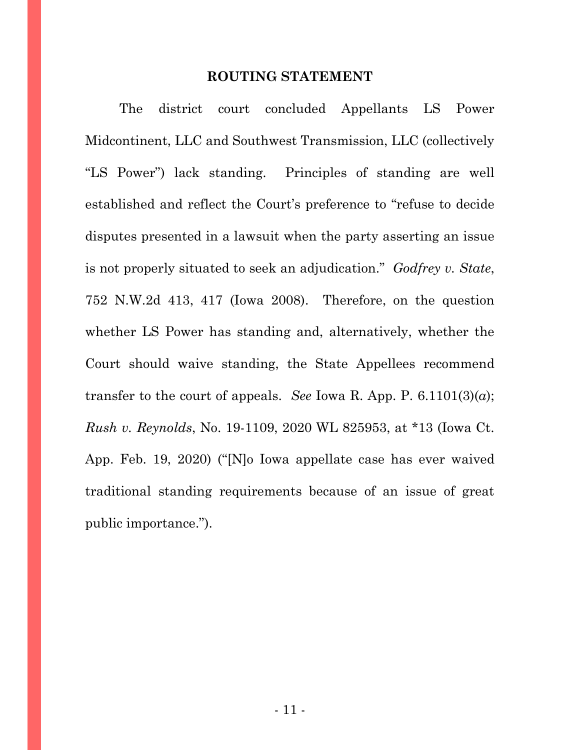### **ROUTING STATEMENT**

<span id="page-10-0"></span>The district court concluded Appellants LS Power Midcontinent, LLC and Southwest Transmission, LLC (collectively "LS Power") lack standing. Principles of standing are well established and reflect the Court's preference to "refuse to decide disputes presented in a lawsuit when the party asserting an issue is not properly situated to seek an adjudication." *Godfrey v. State*, 752 N.W.2d 413, 417 (Iowa 2008). Therefore, on the question whether LS Power has standing and, alternatively, whether the Court should waive standing, the State Appellees recommend transfer to the court of appeals. *See* Iowa R. App. P.  $6.1101(3)(a)$ ; *Rush v. Reynolds*, No. 19-1109, 2020 WL 825953, at \*13 (Iowa Ct. App. Feb. 19, 2020) ("[N]o Iowa appellate case has ever waived traditional standing requirements because of an issue of great public importance.").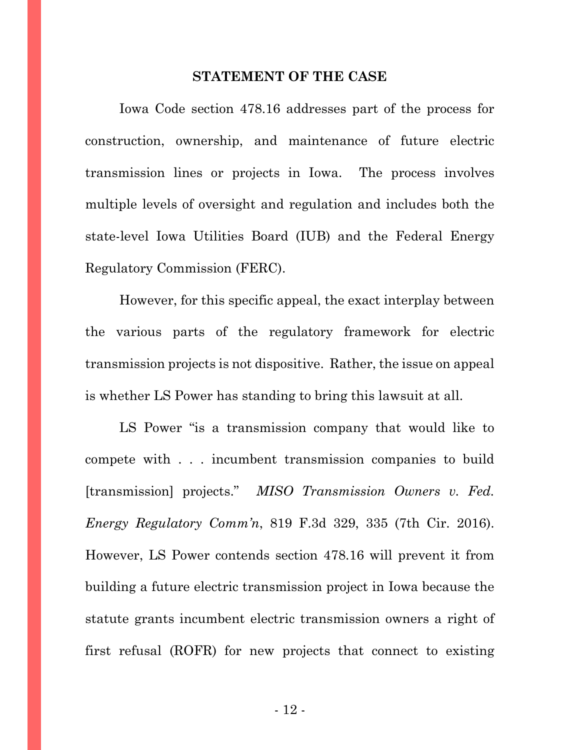### **STATEMENT OF THE CASE**

<span id="page-11-0"></span>Iowa Code section 478.16 addresses part of the process for construction, ownership, and maintenance of future electric transmission lines or projects in Iowa. The process involves multiple levels of oversight and regulation and includes both the state-level Iowa Utilities Board (IUB) and the Federal Energy Regulatory Commission (FERC).

However, for this specific appeal, the exact interplay between the various parts of the regulatory framework for electric transmission projects is not dispositive. Rather, the issue on appeal is whether LS Power has standing to bring this lawsuit at all.

LS Power "is a transmission company that would like to compete with . . . incumbent transmission companies to build [transmission] projects." *MISO Transmission Owners v. Fed. Energy Regulatory Comm'n*, 819 F.3d 329, 335 (7th Cir. 2016). However, LS Power contends section 478.16 will prevent it from building a future electric transmission project in Iowa because the statute grants incumbent electric transmission owners a right of first refusal (ROFR) for new projects that connect to existing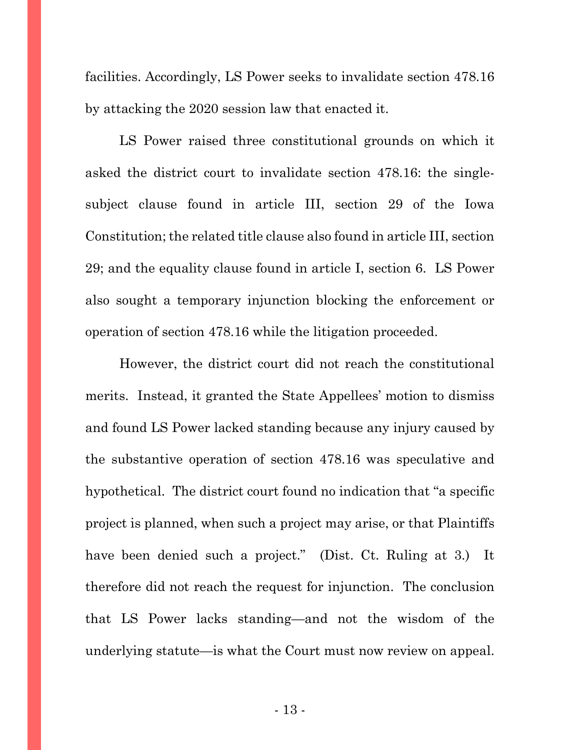facilities. Accordingly, LS Power seeks to invalidate section 478.16 by attacking the 2020 session law that enacted it.

LS Power raised three constitutional grounds on which it asked the district court to invalidate section 478.16: the singlesubject clause found in article III, section 29 of the Iowa Constitution; the related title clause also found in article III, section 29; and the equality clause found in article I, section 6. LS Power also sought a temporary injunction blocking the enforcement or operation of section 478.16 while the litigation proceeded.

However, the district court did not reach the constitutional merits. Instead, it granted the State Appellees' motion to dismiss and found LS Power lacked standing because any injury caused by the substantive operation of section 478.16 was speculative and hypothetical. The district court found no indication that "a specific project is planned, when such a project may arise, or that Plaintiffs have been denied such a project." (Dist. Ct. Ruling at 3.) It therefore did not reach the request for injunction. The conclusion that LS Power lacks standing—and not the wisdom of the underlying statute—is what the Court must now review on appeal.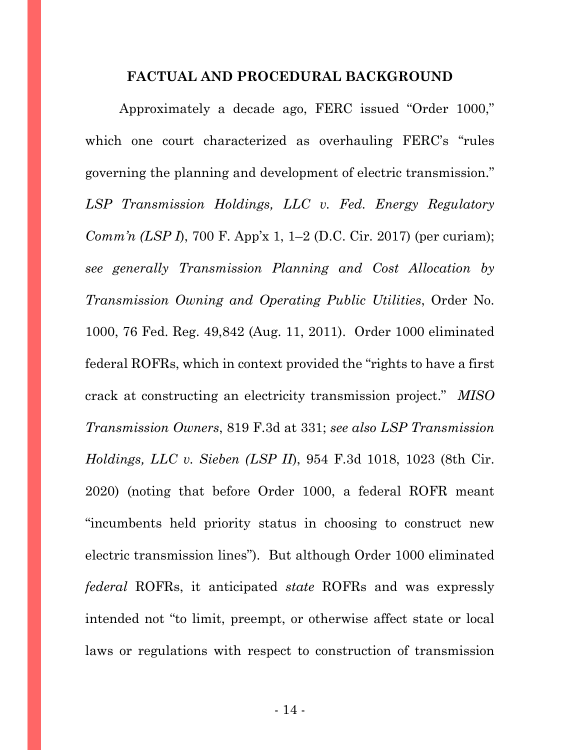#### **FACTUAL AND PROCEDURAL BACKGROUND**

<span id="page-13-0"></span>Approximately a decade ago, FERC issued "Order 1000," which one court characterized as overhauling FERC's "rules governing the planning and development of electric transmission." *LSP Transmission Holdings, LLC v. Fed. Energy Regulatory Comm'n (LSP I)*, 700 F. App'x 1, 1–2 (D.C. Cir. 2017) (per curiam); *see generally Transmission Planning and Cost Allocation by Transmission Owning and Operating Public Utilities*, Order No. 1000, 76 Fed. Reg. 49,842 (Aug. 11, 2011). Order 1000 eliminated federal ROFRs, which in context provided the "rights to have a first crack at constructing an electricity transmission project." *MISO Transmission Owners*, 819 F.3d at 331; *see also LSP Transmission Holdings, LLC v. Sieben (LSP II*), 954 F.3d 1018, 1023 (8th Cir. 2020) (noting that before Order 1000, a federal ROFR meant "incumbents held priority status in choosing to construct new electric transmission lines"). But although Order 1000 eliminated *federal* ROFRs, it anticipated *state* ROFRs and was expressly intended not "to limit, preempt, or otherwise affect state or local laws or regulations with respect to construction of transmission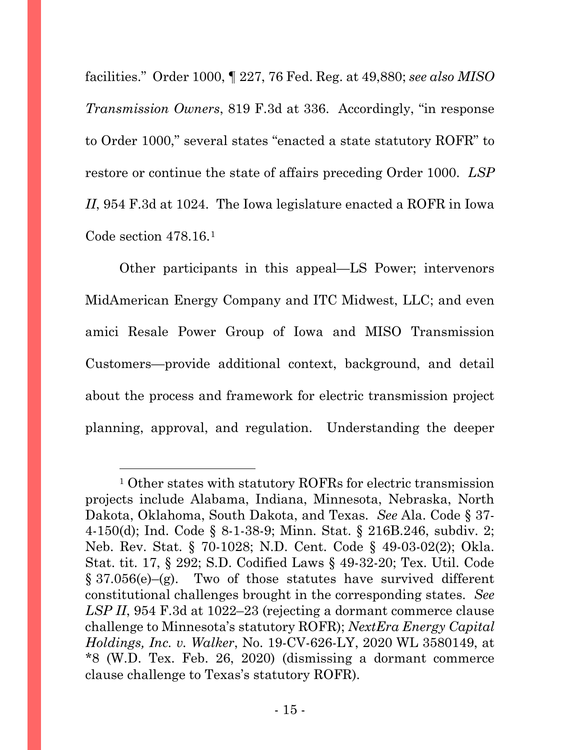facilities." Order 1000, ¶ 227, 76 Fed. Reg. at 49,880; *see also MISO Transmission Owners*, 819 F.3d at 336. Accordingly, "in response to Order 1000," several states "enacted a state statutory ROFR" to restore or continue the state of affairs preceding Order 1000. *LSP II*, 954 F.3d at 1024. The Iowa legislature enacted a ROFR in Iowa Code section 478.16.[1](#page-14-0)

Other participants in this appeal—LS Power; intervenors MidAmerican Energy Company and ITC Midwest, LLC; and even amici Resale Power Group of Iowa and MISO Transmission Customers—provide additional context, background, and detail about the process and framework for electric transmission project planning, approval, and regulation. Understanding the deeper

<span id="page-14-0"></span><sup>1</sup> Other states with statutory ROFRs for electric transmission projects include Alabama, Indiana, Minnesota, Nebraska, North Dakota, Oklahoma, South Dakota, and Texas. *See* Ala. Code § 37- 4-150(d); Ind. Code § 8-1-38-9; Minn. Stat. § 216B.246, subdiv. 2; Neb. Rev. Stat. § 70-1028; N.D. Cent. Code § 49-03-02(2); Okla. Stat. tit. 17, § 292; S.D. Codified Laws § 49-32-20; Tex. Util. Code  $§ 37.056(e)$  –(g). Two of those statutes have survived different constitutional challenges brought in the corresponding states. *See LSP II*, 954 F.3d at 1022–23 (rejecting a dormant commerce clause challenge to Minnesota's statutory ROFR); *NextEra Energy Capital Holdings, Inc. v. Walker*, No. 19-CV-626-LY, 2020 WL 3580149, at \*8 (W.D. Tex. Feb. 26, 2020) (dismissing a dormant commerce clause challenge to Texas's statutory ROFR).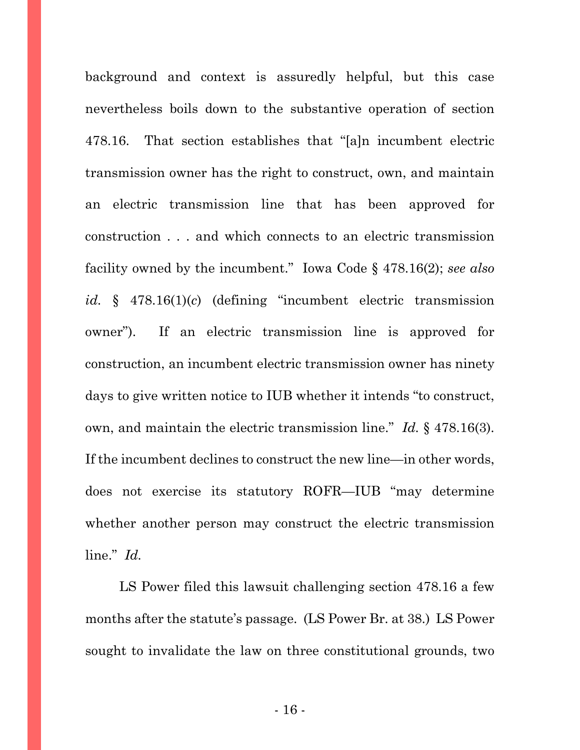background and context is assuredly helpful, but this case nevertheless boils down to the substantive operation of section 478.16. That section establishes that "[a]n incumbent electric transmission owner has the right to construct, own, and maintain an electric transmission line that has been approved for construction . . . and which connects to an electric transmission facility owned by the incumbent." Iowa Code § 478.16(2); *see also id.* § 478.16(1)(*c*) (defining "incumbent electric transmission owner"). If an electric transmission line is approved for construction, an incumbent electric transmission owner has ninety days to give written notice to IUB whether it intends "to construct, own, and maintain the electric transmission line." *Id.* § 478.16(3). If the incumbent declines to construct the new line—in other words, does not exercise its statutory ROFR—IUB "may determine whether another person may construct the electric transmission line." *Id.*

LS Power filed this lawsuit challenging section 478.16 a few months after the statute's passage. (LS Power Br. at 38.) LS Power sought to invalidate the law on three constitutional grounds, two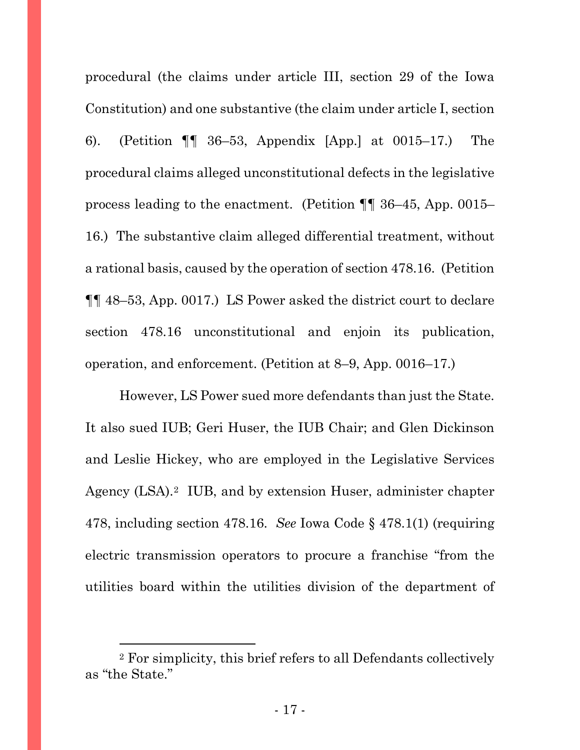procedural (the claims under article III, section 29 of the Iowa Constitution) and one substantive (the claim under article I, section 6). (Petition ¶¶ 36–53, Appendix [App.] at 0015–17.) The procedural claims alleged unconstitutional defects in the legislative process leading to the enactment. (Petition ¶¶ 36–45, App. 0015– 16.) The substantive claim alleged differential treatment, without a rational basis, caused by the operation of section 478.16. (Petition ¶¶ 48–53, App. 0017.) LS Power asked the district court to declare section 478.16 unconstitutional and enjoin its publication, operation, and enforcement. (Petition at 8–9, App. 0016–17.)

However, LS Power sued more defendants than just the State. It also sued IUB; Geri Huser, the IUB Chair; and Glen Dickinson and Leslie Hickey, who are employed in the Legislative Services Agency (LSA).<sup>2</sup> IUB, and by extension Huser, administer chapter 478, including section 478.16. *See* Iowa Code § 478.1(1) (requiring electric transmission operators to procure a franchise "from the utilities board within the utilities division of the department of

<span id="page-16-0"></span><sup>2</sup> For simplicity, this brief refers to all Defendants collectively as "the State."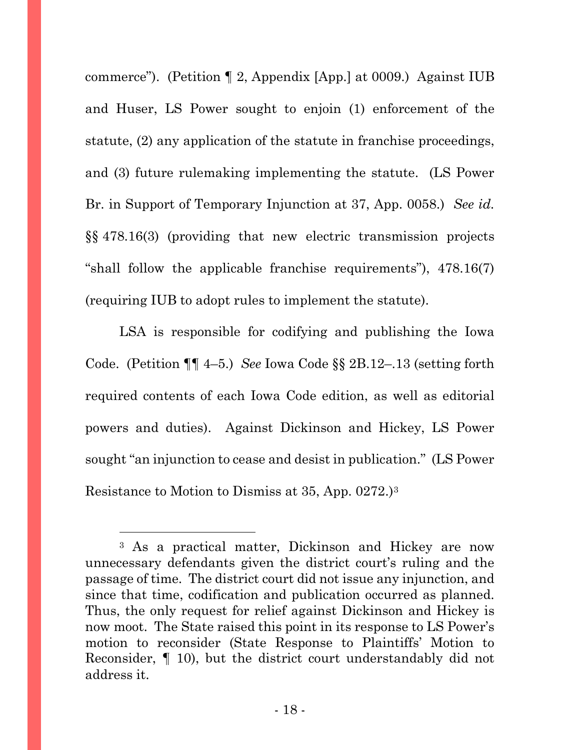commerce"). (Petition ¶ 2, Appendix [App.] at 0009.) Against IUB and Huser, LS Power sought to enjoin (1) enforcement of the statute, (2) any application of the statute in franchise proceedings, and (3) future rulemaking implementing the statute. (LS Power Br. in Support of Temporary Injunction at 37, App. 0058.) *See id.* §§ 478.16(3) (providing that new electric transmission projects "shall follow the applicable franchise requirements"), 478.16(7) (requiring IUB to adopt rules to implement the statute).

LSA is responsible for codifying and publishing the Iowa Code. (Petition ¶¶ 4–5.) *See* Iowa Code §§ 2B.12–.13 (setting forth required contents of each Iowa Code edition, as well as editorial powers and duties). Against Dickinson and Hickey, LS Power sought "an injunction to cease and desist in publication." (LS Power Resistance to Motion to Dismiss at 35, App. 0272.)[3](#page-17-0)

<span id="page-17-0"></span><sup>3</sup> As a practical matter, Dickinson and Hickey are now unnecessary defendants given the district court's ruling and the passage of time. The district court did not issue any injunction, and since that time, codification and publication occurred as planned. Thus, the only request for relief against Dickinson and Hickey is now moot. The State raised this point in its response to LS Power's motion to reconsider (State Response to Plaintiffs' Motion to Reconsider, ¶ 10), but the district court understandably did not address it.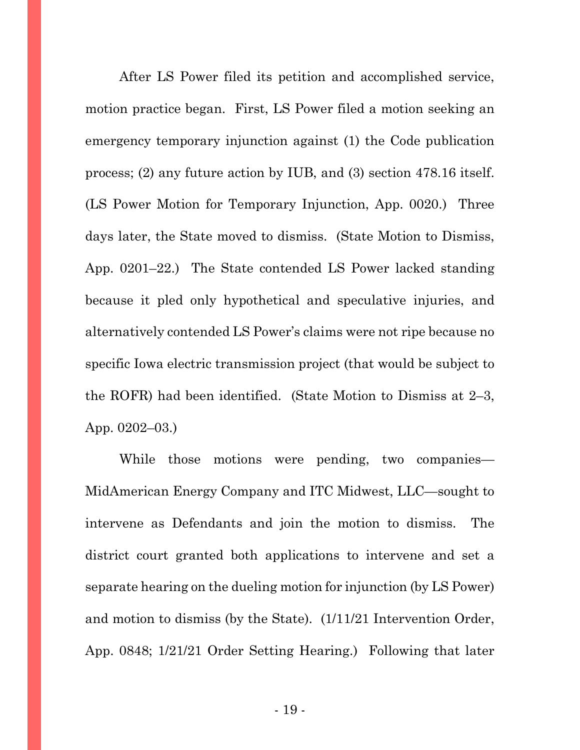After LS Power filed its petition and accomplished service, motion practice began. First, LS Power filed a motion seeking an emergency temporary injunction against (1) the Code publication process; (2) any future action by IUB, and (3) section 478.16 itself. (LS Power Motion for Temporary Injunction, App. 0020.) Three days later, the State moved to dismiss. (State Motion to Dismiss, App. 0201–22.) The State contended LS Power lacked standing because it pled only hypothetical and speculative injuries, and alternatively contended LS Power's claims were not ripe because no specific Iowa electric transmission project (that would be subject to the ROFR) had been identified. (State Motion to Dismiss at 2–3, App. 0202–03.)

While those motions were pending, two companies— MidAmerican Energy Company and ITC Midwest, LLC—sought to intervene as Defendants and join the motion to dismiss. The district court granted both applications to intervene and set a separate hearing on the dueling motion for injunction (by LS Power) and motion to dismiss (by the State). (1/11/21 Intervention Order, App. 0848; 1/21/21 Order Setting Hearing.) Following that later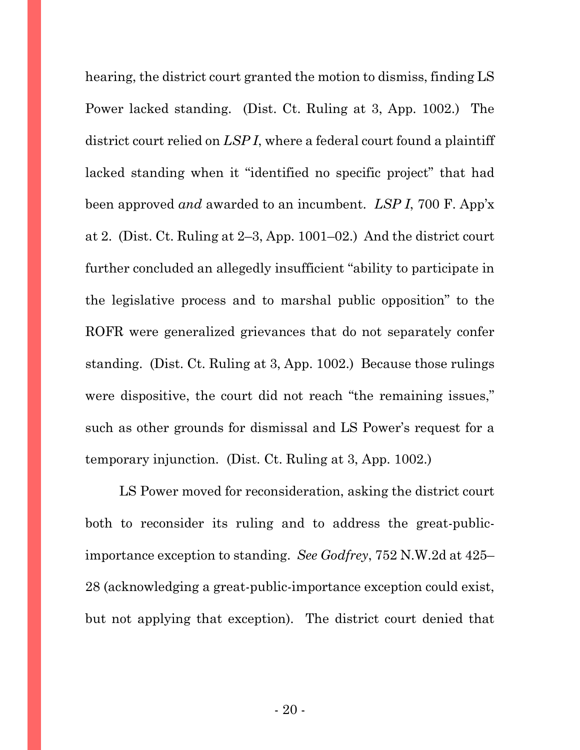hearing, the district court granted the motion to dismiss, finding LS Power lacked standing. (Dist. Ct. Ruling at 3, App. 1002.) The district court relied on *LSP I*, where a federal court found a plaintiff lacked standing when it "identified no specific project" that had been approved *and* awarded to an incumbent. *LSP I*, 700 F. App'x at 2. (Dist. Ct. Ruling at 2–3, App. 1001–02.) And the district court further concluded an allegedly insufficient "ability to participate in the legislative process and to marshal public opposition" to the ROFR were generalized grievances that do not separately confer standing. (Dist. Ct. Ruling at 3, App. 1002.) Because those rulings were dispositive, the court did not reach "the remaining issues," such as other grounds for dismissal and LS Power's request for a temporary injunction. (Dist. Ct. Ruling at 3, App. 1002.)

LS Power moved for reconsideration, asking the district court both to reconsider its ruling and to address the great-publicimportance exception to standing. *See Godfrey*, 752 N.W.2d at 425– 28 (acknowledging a great-public-importance exception could exist, but not applying that exception).The district court denied that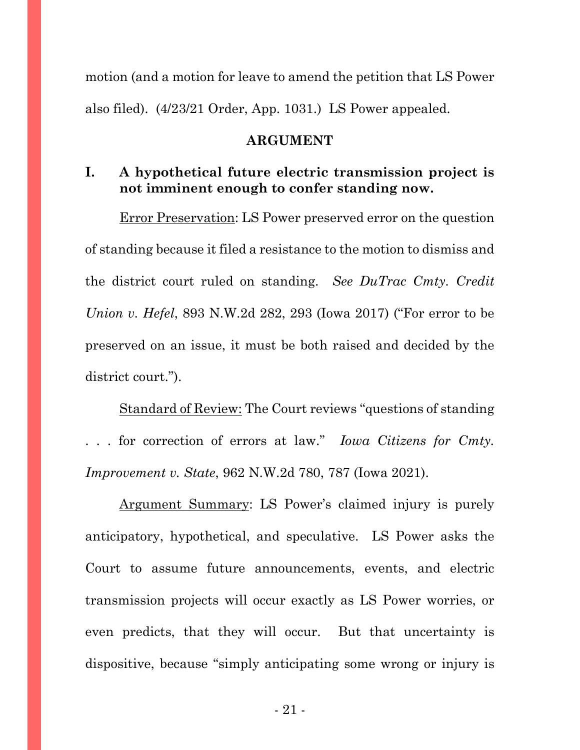motion (and a motion for leave to amend the petition that LS Power also filed). (4/23/21 Order, App. 1031.) LS Power appealed.

### **ARGUMENT**

## <span id="page-20-1"></span><span id="page-20-0"></span>**I. A hypothetical future electric transmission project is not imminent enough to confer standing now.**

Error Preservation: LS Power preserved error on the question of standing because it filed a resistance to the motion to dismiss and the district court ruled on standing. *See DuTrac Cmty. Credit Union v. Hefel*, 893 N.W.2d 282, 293 (Iowa 2017) ("For error to be preserved on an issue, it must be both raised and decided by the district court.").

Standard of Review: The Court reviews "questions of standing . . . for correction of errors at law." *Iowa Citizens for Cmty. Improvement v. State*, 962 N.W.2d 780, 787 (Iowa 2021).

Argument Summary: LS Power's claimed injury is purely anticipatory, hypothetical, and speculative. LS Power asks the Court to assume future announcements, events, and electric transmission projects will occur exactly as LS Power worries, or even predicts, that they will occur. But that uncertainty is dispositive, because "simply anticipating some wrong or injury is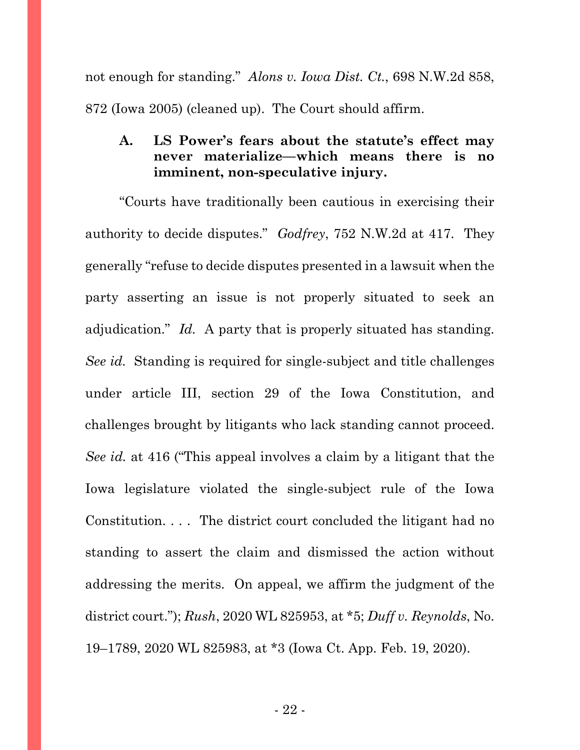not enough for standing." *Alons v. Iowa Dist. Ct.*, 698 N.W.2d 858, 872 (Iowa 2005) (cleaned up). The Court should affirm.

## <span id="page-21-0"></span>**A. LS Power's fears about the statute's effect may never materialize—which means there is no imminent, non-speculative injury.**

"Courts have traditionally been cautious in exercising their authority to decide disputes." *Godfrey*, 752 N.W.2d at 417. They generally "refuse to decide disputes presented in a lawsuit when the party asserting an issue is not properly situated to seek an adjudication." *Id.* A party that is properly situated has standing. *See id.* Standing is required for single-subject and title challenges under article III, section 29 of the Iowa Constitution, and challenges brought by litigants who lack standing cannot proceed. *See id.* at 416 ("This appeal involves a claim by a litigant that the Iowa legislature violated the single-subject rule of the Iowa Constitution. . . . The district court concluded the litigant had no standing to assert the claim and dismissed the action without addressing the merits. On appeal, we affirm the judgment of the district court."); *Rush*, 2020 WL 825953, at \*5; *Duff v. Reynolds*, No. 19–1789, 2020 WL 825983, at \*3 (Iowa Ct. App. Feb. 19, 2020).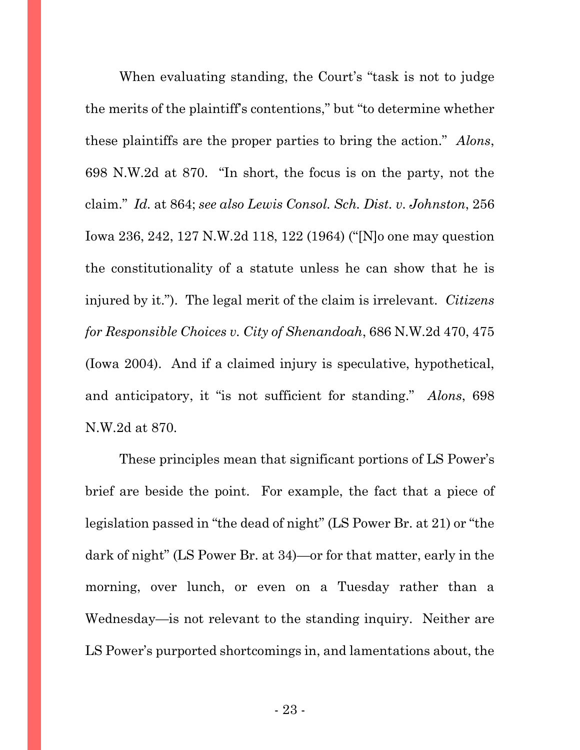When evaluating standing, the Court's "task is not to judge the merits of the plaintiff's contentions," but "to determine whether these plaintiffs are the proper parties to bring the action." *Alons*, 698 N.W.2d at 870. "In short, the focus is on the party, not the claim." *Id.* at 864; *see also Lewis Consol. Sch. Dist. v. Johnston*, 256 Iowa 236, 242, 127 N.W.2d 118, 122 (1964) ("[N]o one may question the constitutionality of a statute unless he can show that he is injured by it."). The legal merit of the claim is irrelevant. *Citizens for Responsible Choices v. City of Shenandoah*, 686 N.W.2d 470, 475 (Iowa 2004). And if a claimed injury is speculative, hypothetical, and anticipatory, it "is not sufficient for standing." *Alons*, 698 N.W.2d at 870.

These principles mean that significant portions of LS Power's brief are beside the point. For example, the fact that a piece of legislation passed in "the dead of night" (LS Power Br. at 21) or "the dark of night" (LS Power Br. at 34)—or for that matter, early in the morning, over lunch, or even on a Tuesday rather than a Wednesday—is not relevant to the standing inquiry. Neither are LS Power's purported shortcomings in, and lamentations about, the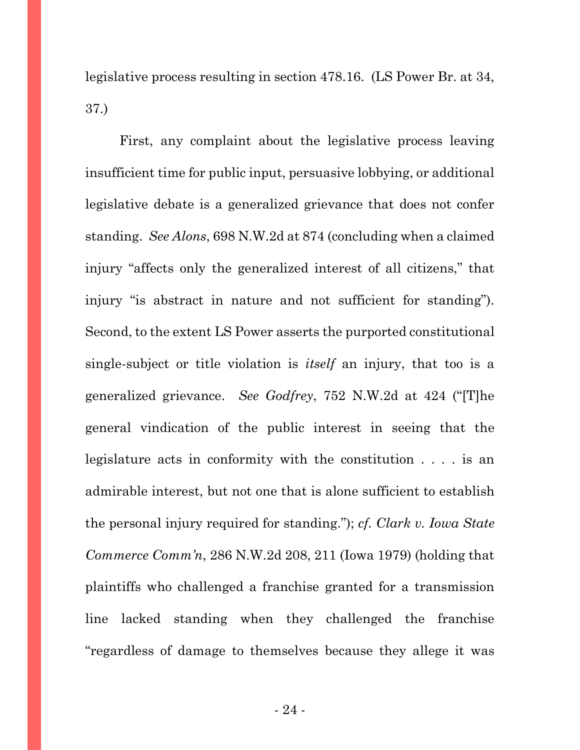legislative process resulting in section 478.16. (LS Power Br. at 34, 37.)

First, any complaint about the legislative process leaving insufficient time for public input, persuasive lobbying, or additional legislative debate is a generalized grievance that does not confer standing. *See Alons*, 698 N.W.2d at 874 (concluding when a claimed injury "affects only the generalized interest of all citizens," that injury "is abstract in nature and not sufficient for standing"). Second, to the extent LS Power asserts the purported constitutional single-subject or title violation is *itself* an injury, that too is a generalized grievance. *See Godfrey*, 752 N.W.2d at 424 ("[T]he general vindication of the public interest in seeing that the legislature acts in conformity with the constitution . . . . is an admirable interest, but not one that is alone sufficient to establish the personal injury required for standing."); *cf. Clark v. Iowa State Commerce Comm'n*, 286 N.W.2d 208, 211 (Iowa 1979) (holding that plaintiffs who challenged a franchise granted for a transmission line lacked standing when they challenged the franchise "regardless of damage to themselves because they allege it was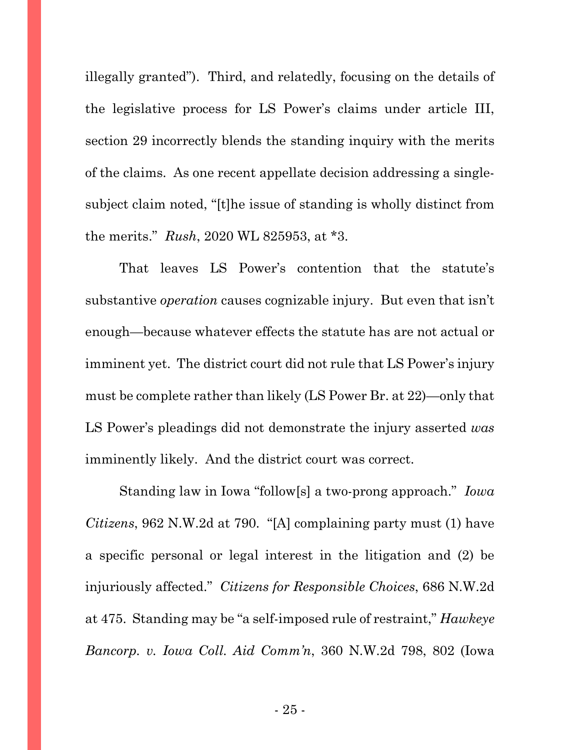illegally granted"). Third, and relatedly, focusing on the details of the legislative process for LS Power's claims under article III, section 29 incorrectly blends the standing inquiry with the merits of the claims. As one recent appellate decision addressing a singlesubject claim noted, "[t]he issue of standing is wholly distinct from the merits." *Rush*, 2020 WL 825953, at \*3.

That leaves LS Power's contention that the statute's substantive *operation* causes cognizable injury. But even that isn't enough—because whatever effects the statute has are not actual or imminent yet. The district court did not rule that LS Power's injury must be complete rather than likely (LS Power Br. at 22)—only that LS Power's pleadings did not demonstrate the injury asserted *was*  imminently likely. And the district court was correct.

Standing law in Iowa "follow[s] a two-prong approach." *Iowa Citizens*, 962 N.W.2d at 790. "[A] complaining party must (1) have a specific personal or legal interest in the litigation and (2) be injuriously affected." *Citizens for Responsible Choices*, 686 N.W.2d at 475. Standing may be "a self-imposed rule of restraint," *Hawkeye Bancorp. v. Iowa Coll. Aid Comm'n*, 360 N.W.2d 798, 802 (Iowa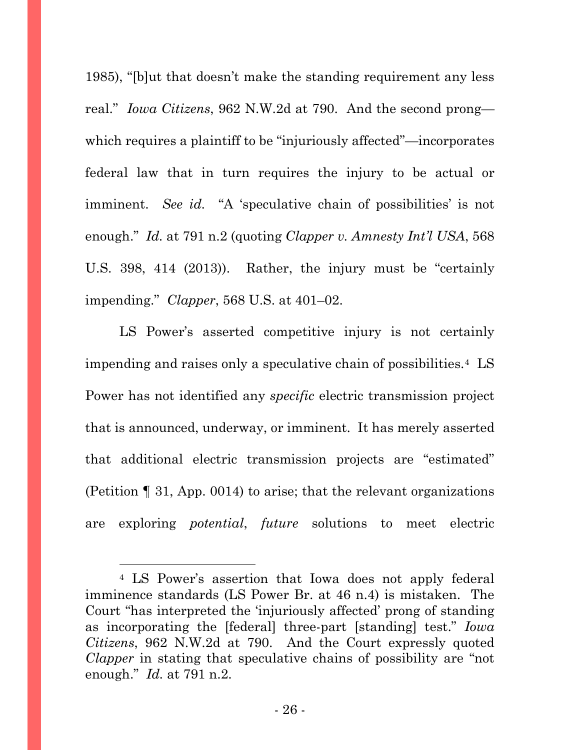1985), "[b]ut that doesn't make the standing requirement any less real." *Iowa Citizens*, 962 N.W.2d at 790. And the second prong which requires a plaintiff to be "injuriously affected"—incorporates federal law that in turn requires the injury to be actual or imminent. *See id.* "A 'speculative chain of possibilities' is not enough." *Id.* at 791 n.2 (quoting *Clapper v. Amnesty Int'l USA*, 568 U.S. 398, 414 (2013)). Rather, the injury must be "certainly impending." *Clapper*, 568 U.S. at 401–02.

LS Power's asserted competitive injury is not certainly impending and raises only a speculative chain of possibilities.[4](#page-25-0) LS Power has not identified any *specific* electric transmission project that is announced, underway, or imminent. It has merely asserted that additional electric transmission projects are "estimated" (Petition ¶ 31, App. 0014) to arise; that the relevant organizations are exploring *potential*, *future* solutions to meet electric

<span id="page-25-0"></span><sup>4</sup> LS Power's assertion that Iowa does not apply federal imminence standards (LS Power Br. at 46 n.4) is mistaken. The Court "has interpreted the 'injuriously affected' prong of standing as incorporating the [federal] three-part [standing] test." *Iowa Citizens*, 962 N.W.2d at 790. And the Court expressly quoted *Clapper* in stating that speculative chains of possibility are "not enough." *Id.* at 791 n.2.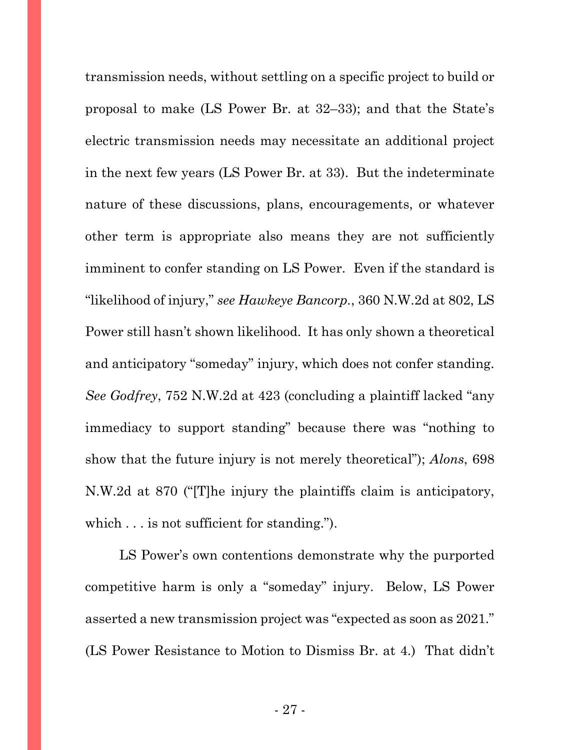transmission needs, without settling on a specific project to build or proposal to make (LS Power Br. at 32–33); and that the State's electric transmission needs may necessitate an additional project in the next few years (LS Power Br. at 33). But the indeterminate nature of these discussions, plans, encouragements, or whatever other term is appropriate also means they are not sufficiently imminent to confer standing on LS Power. Even if the standard is "likelihood of injury," *see Hawkeye Bancorp.*, 360 N.W.2d at 802, LS Power still hasn't shown likelihood. It has only shown a theoretical and anticipatory "someday" injury, which does not confer standing. *See Godfrey*, 752 N.W.2d at 423 (concluding a plaintiff lacked "any immediacy to support standing" because there was "nothing to show that the future injury is not merely theoretical"); *Alons*, 698 N.W.2d at 870 ("[T]he injury the plaintiffs claim is anticipatory, which . . . is not sufficient for standing.").

LS Power's own contentions demonstrate why the purported competitive harm is only a "someday" injury. Below, LS Power asserted a new transmission project was "expected as soon as 2021." (LS Power Resistance to Motion to Dismiss Br. at 4.) That didn't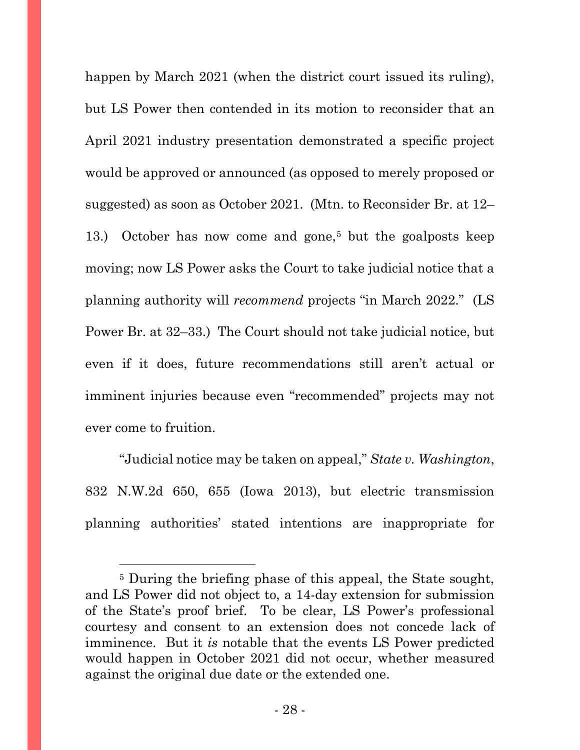happen by March 2021 (when the district court issued its ruling), but LS Power then contended in its motion to reconsider that an April 2021 industry presentation demonstrated a specific project would be approved or announced (as opposed to merely proposed or suggested) as soon as October 2021. (Mtn. to Reconsider Br. at 12– 13.) October has now come and gone,[5](#page-27-0) but the goalposts keep moving; now LS Power asks the Court to take judicial notice that a planning authority will *recommend* projects "in March 2022." (LS Power Br. at 32–33.) The Court should not take judicial notice, but even if it does, future recommendations still aren't actual or imminent injuries because even "recommended" projects may not ever come to fruition.

"Judicial notice may be taken on appeal," *State v. Washington*, 832 N.W.2d 650, 655 (Iowa 2013), but electric transmission planning authorities' stated intentions are inappropriate for

<span id="page-27-0"></span><sup>&</sup>lt;sup>5</sup> During the briefing phase of this appeal, the State sought, and LS Power did not object to, a 14-day extension for submission of the State's proof brief. To be clear, LS Power's professional courtesy and consent to an extension does not concede lack of imminence. But it *is* notable that the events LS Power predicted would happen in October 2021 did not occur, whether measured against the original due date or the extended one.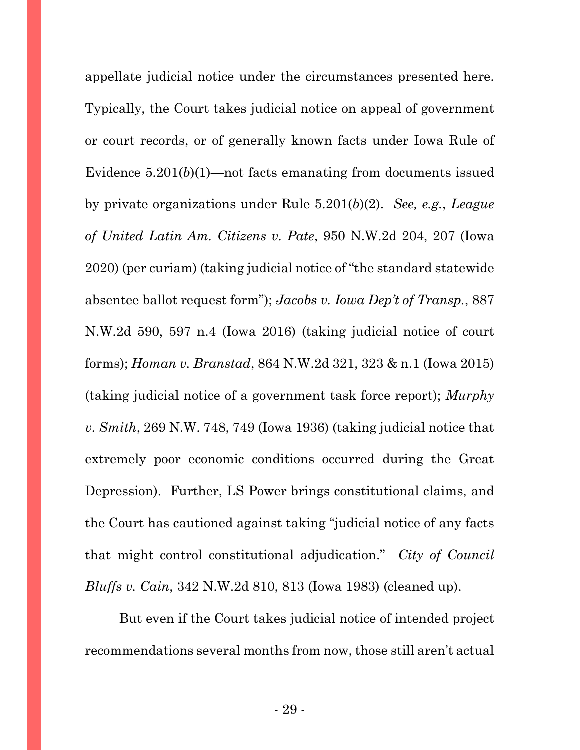appellate judicial notice under the circumstances presented here. Typically, the Court takes judicial notice on appeal of government or court records, or of generally known facts under Iowa Rule of Evidence  $5.201(b)(1)$ —not facts emanating from documents issued by private organizations under Rule 5.201(*b*)(2). *See, e.g.*, *League of United Latin Am. Citizens v. Pate*, 950 N.W.2d 204, 207 (Iowa 2020) (per curiam) (taking judicial notice of "the standard statewide absentee ballot request form"); *Jacobs v. Iowa Dep't of Transp.*, 887 N.W.2d 590, 597 n.4 (Iowa 2016) (taking judicial notice of court forms); *Homan v. Branstad*, 864 N.W.2d 321, 323 & n.1 (Iowa 2015) (taking judicial notice of a government task force report); *Murphy v. Smith*, 269 N.W. 748, 749 (Iowa 1936) (taking judicial notice that extremely poor economic conditions occurred during the Great Depression).Further, LS Power brings constitutional claims, and the Court has cautioned against taking "judicial notice of any facts that might control constitutional adjudication." *City of Council Bluffs v. Cain*, 342 N.W.2d 810, 813 (Iowa 1983) (cleaned up).

But even if the Court takes judicial notice of intended project recommendations several months from now, those still aren't actual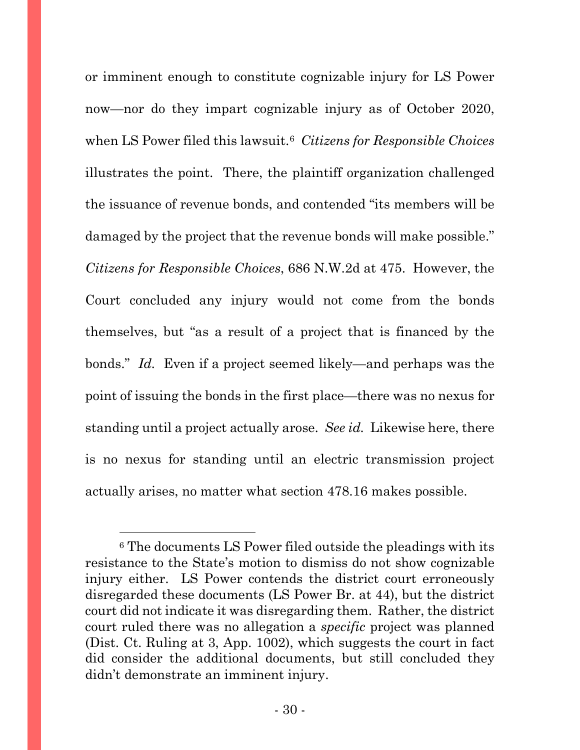or imminent enough to constitute cognizable injury for LS Power now—nor do they impart cognizable injury as of October 2020, when LS Power filed this lawsuit.[6](#page-29-0) *Citizens for Responsible Choices* illustrates the point. There, the plaintiff organization challenged the issuance of revenue bonds, and contended "its members will be damaged by the project that the revenue bonds will make possible." *Citizens for Responsible Choices*, 686 N.W.2d at 475. However, the Court concluded any injury would not come from the bonds themselves, but "as a result of a project that is financed by the bonds." *Id.* Even if a project seemed likely—and perhaps was the point of issuing the bonds in the first place—there was no nexus for standing until a project actually arose. *See id.* Likewise here, there is no nexus for standing until an electric transmission project actually arises, no matter what section 478.16 makes possible.

<span id="page-29-0"></span><sup>6</sup> The documents LS Power filed outside the pleadings with its resistance to the State's motion to dismiss do not show cognizable injury either. LS Power contends the district court erroneously disregarded these documents (LS Power Br. at 44), but the district court did not indicate it was disregarding them. Rather, the district court ruled there was no allegation a *specific* project was planned (Dist. Ct. Ruling at 3, App. 1002), which suggests the court in fact did consider the additional documents, but still concluded they didn't demonstrate an imminent injury.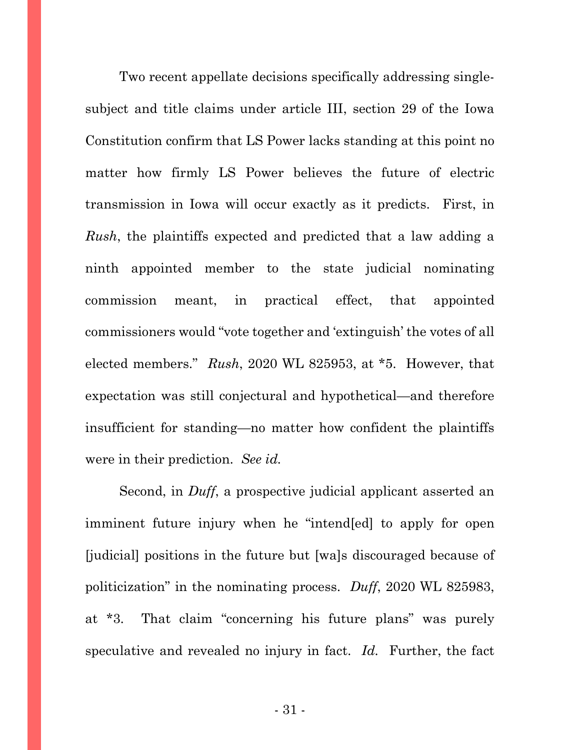Two recent appellate decisions specifically addressing singlesubject and title claims under article III, section 29 of the Iowa Constitution confirm that LS Power lacks standing at this point no matter how firmly LS Power believes the future of electric transmission in Iowa will occur exactly as it predicts. First, in *Rush*, the plaintiffs expected and predicted that a law adding a ninth appointed member to the state judicial nominating commission meant, in practical effect, that appointed commissioners would "vote together and 'extinguish' the votes of all elected members." *Rush*, 2020 WL 825953, at \*5. However, that expectation was still conjectural and hypothetical—and therefore insufficient for standing—no matter how confident the plaintiffs were in their prediction. *See id.*

Second, in *Duff*, a prospective judicial applicant asserted an imminent future injury when he "intend[ed] to apply for open [judicial] positions in the future but [wa]s discouraged because of politicization" in the nominating process. *Duff*, 2020 WL 825983, at \*3. That claim "concerning his future plans" was purely speculative and revealed no injury in fact. *Id.* Further, the fact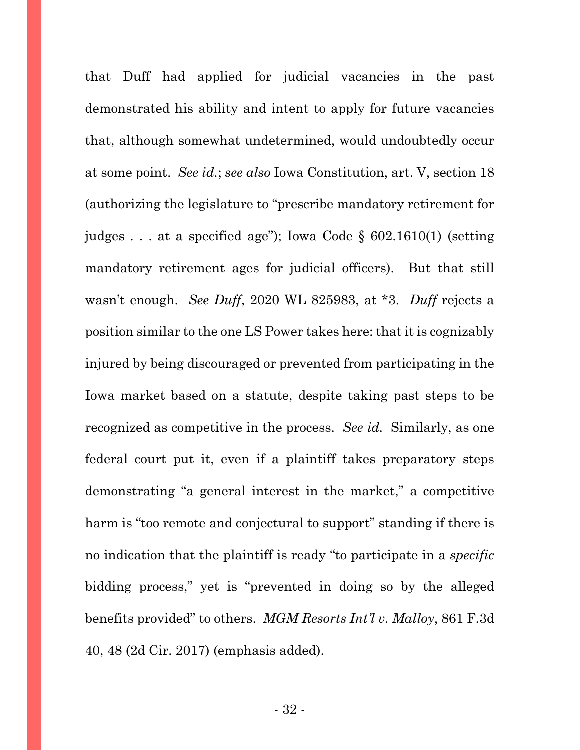that Duff had applied for judicial vacancies in the past demonstrated his ability and intent to apply for future vacancies that, although somewhat undetermined, would undoubtedly occur at some point. *See id.*; *see also* Iowa Constitution, art. V, section 18 (authorizing the legislature to "prescribe mandatory retirement for judges . . . at a specified age"); Iowa Code § 602.1610(1) (setting mandatory retirement ages for judicial officers). But that still wasn't enough. *See Duff*, 2020 WL 825983, at \*3. *Duff* rejects a position similar to the one LS Power takes here: that it is cognizably injured by being discouraged or prevented from participating in the Iowa market based on a statute, despite taking past steps to be recognized as competitive in the process. *See id.* Similarly, as one federal court put it, even if a plaintiff takes preparatory steps demonstrating "a general interest in the market," a competitive harm is "too remote and conjectural to support" standing if there is no indication that the plaintiff is ready "to participate in a *specific* bidding process," yet is "prevented in doing so by the alleged benefits provided" to others. *MGM Resorts Int'l v. Malloy*, 861 F.3d 40, 48 (2d Cir. 2017) (emphasis added).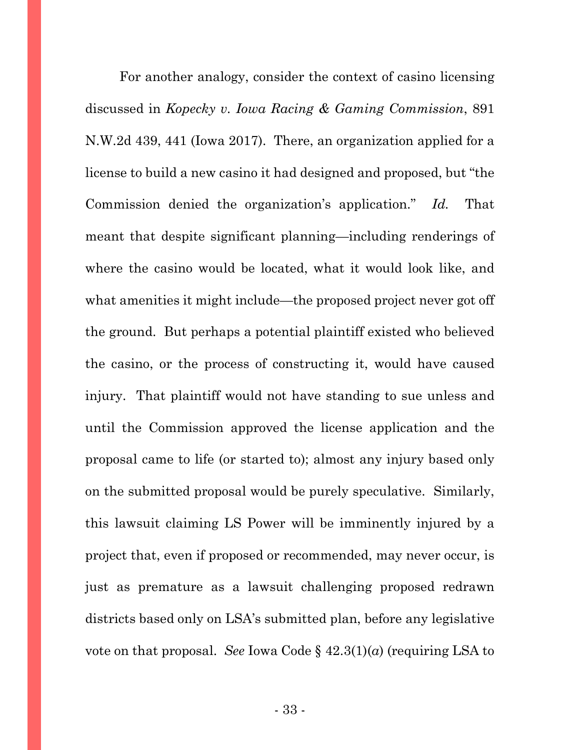For another analogy, consider the context of casino licensing discussed in *Kopecky v. Iowa Racing & Gaming Commission*, 891 N.W.2d 439, 441 (Iowa 2017). There, an organization applied for a license to build a new casino it had designed and proposed, but "the Commission denied the organization's application." *Id.* That meant that despite significant planning—including renderings of where the casino would be located, what it would look like, and what amenities it might include—the proposed project never got off the ground. But perhaps a potential plaintiff existed who believed the casino, or the process of constructing it, would have caused injury. That plaintiff would not have standing to sue unless and until the Commission approved the license application and the proposal came to life (or started to); almost any injury based only on the submitted proposal would be purely speculative. Similarly, this lawsuit claiming LS Power will be imminently injured by a project that, even if proposed or recommended, may never occur, is just as premature as a lawsuit challenging proposed redrawn districts based only on LSA's submitted plan, before any legislative vote on that proposal. *See* Iowa Code § 42.3(1)(*a*) (requiring LSA to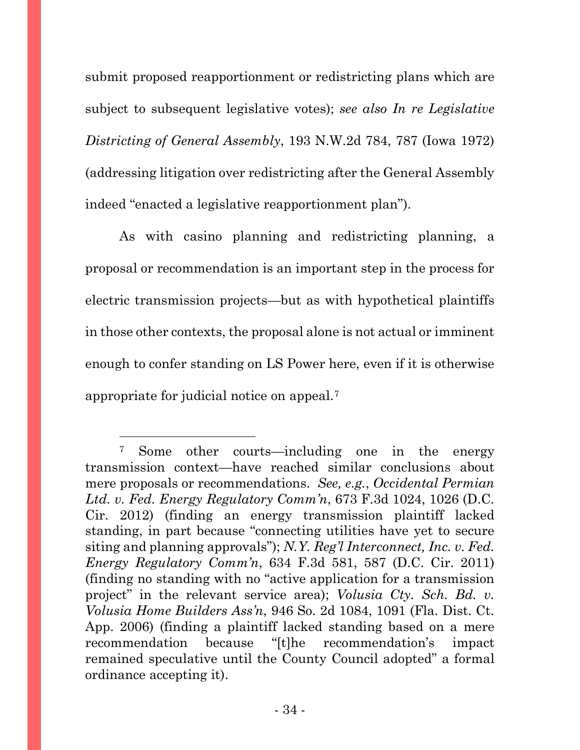submit proposed reapportionment or redistricting plans which are subject to subsequent legislative votes); *see also In re Legislative Districting of General Assembly*, 193 N.W.2d 784, 787 (Iowa 1972) (addressing litigation over redistricting after the General Assembly indeed "enacted a legislative reapportionment plan").

As with casino planning and redistricting planning, a proposal or recommendation is an important step in the process for electric transmission projects—but as with hypothetical plaintiffs in those other contexts, the proposal alone is not actual or imminent enough to confer standing on LS Power here, even if it is otherwise appropriate for judicial notice on appeal.[7](#page-33-0)

<span id="page-33-0"></span><sup>7</sup> Some other courts—including one in the energy transmission context—have reached similar conclusions about mere proposals or recommendations. *See, e.g.*, *Occidental Permian Ltd. v. Fed. Energy Regulatory Comm'n*, 673 F.3d 1024, 1026 (D.C. Cir. 2012) (finding an energy transmission plaintiff lacked standing, in part because "connecting utilities have yet to secure siting and planning approvals"); *N.Y. Reg'l Interconnect, Inc. v. Fed. Energy Regulatory Comm'n*, 634 F.3d 581, 587 (D.C. Cir. 2011) (finding no standing with no "active application for a transmission project" in the relevant service area); *Volusia Cty. Sch. Bd. v. Volusia Home Builders Ass'n*, 946 So. 2d 1084, 1091 (Fla. Dist. Ct. App. 2006) (finding a plaintiff lacked standing based on a mere recommendation because "[t]he recommendation's impact remained speculative until the County Council adopted" a formal ordinance accepting it).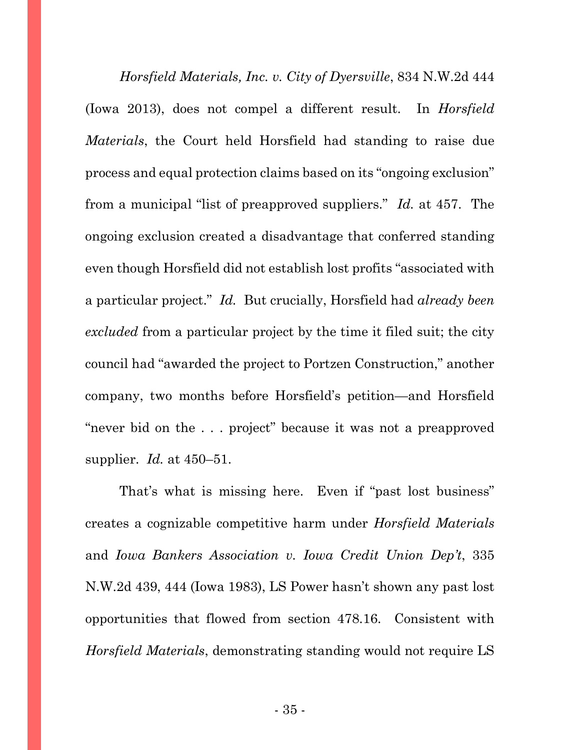*Horsfield Materials, Inc. v. City of Dyersville*, 834 N.W.2d 444 (Iowa 2013), does not compel a different result. In *Horsfield Materials*, the Court held Horsfield had standing to raise due process and equal protection claims based on its "ongoing exclusion" from a municipal "list of preapproved suppliers." *Id.* at 457. The ongoing exclusion created a disadvantage that conferred standing even though Horsfield did not establish lost profits "associated with a particular project." *Id.* But crucially, Horsfield had *already been excluded* from a particular project by the time it filed suit; the city council had "awarded the project to Portzen Construction," another company, two months before Horsfield's petition—and Horsfield "never bid on the . . . project" because it was not a preapproved supplier. *Id.* at 450–51.

That's what is missing here. Even if "past lost business" creates a cognizable competitive harm under *Horsfield Materials* and *Iowa Bankers Association v. Iowa Credit Union Dep't*, 335 N.W.2d 439, 444 (Iowa 1983), LS Power hasn't shown any past lost opportunities that flowed from section 478.16. Consistent with *Horsfield Materials*, demonstrating standing would not require LS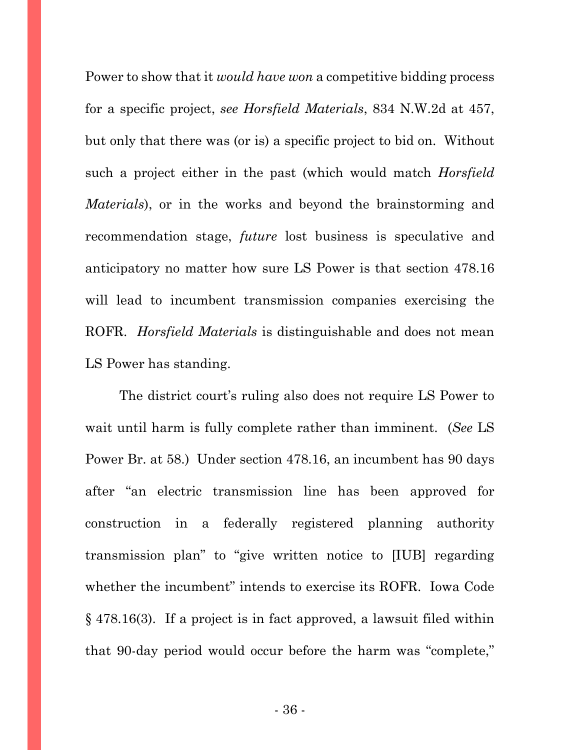Power to show that it *would have won* a competitive bidding process for a specific project, *see Horsfield Materials*, 834 N.W.2d at 457, but only that there was (or is) a specific project to bid on. Without such a project either in the past (which would match *Horsfield Materials*), or in the works and beyond the brainstorming and recommendation stage, *future* lost business is speculative and anticipatory no matter how sure LS Power is that section 478.16 will lead to incumbent transmission companies exercising the ROFR. *Horsfield Materials* is distinguishable and does not mean LS Power has standing.

The district court's ruling also does not require LS Power to wait until harm is fully complete rather than imminent. (*See* LS Power Br. at 58.) Under section 478.16, an incumbent has 90 days after "an electric transmission line has been approved for construction in a federally registered planning authority transmission plan" to "give written notice to [IUB] regarding whether the incumbent" intends to exercise its ROFR. Iowa Code § 478.16(3). If a project is in fact approved, a lawsuit filed within that 90-day period would occur before the harm was "complete,"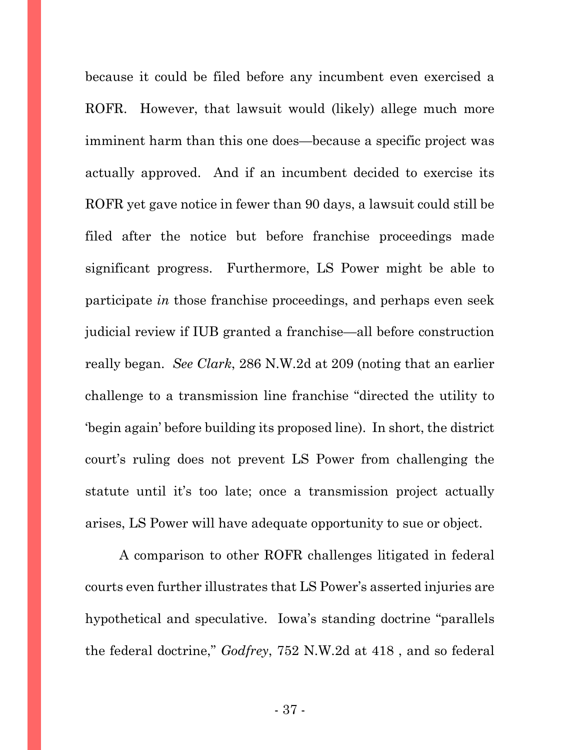because it could be filed before any incumbent even exercised a ROFR. However, that lawsuit would (likely) allege much more imminent harm than this one does—because a specific project was actually approved. And if an incumbent decided to exercise its ROFR yet gave notice in fewer than 90 days, a lawsuit could still be filed after the notice but before franchise proceedings made significant progress. Furthermore, LS Power might be able to participate *in* those franchise proceedings, and perhaps even seek judicial review if IUB granted a franchise—all before construction really began. *See Clark*, 286 N.W.2d at 209 (noting that an earlier challenge to a transmission line franchise "directed the utility to 'begin again' before building its proposed line). In short, the district court's ruling does not prevent LS Power from challenging the statute until it's too late; once a transmission project actually arises, LS Power will have adequate opportunity to sue or object.

A comparison to other ROFR challenges litigated in federal courts even further illustrates that LS Power's asserted injuries are hypothetical and speculative. Iowa's standing doctrine "parallels the federal doctrine," *Godfrey*, 752 N.W.2d at 418 , and so federal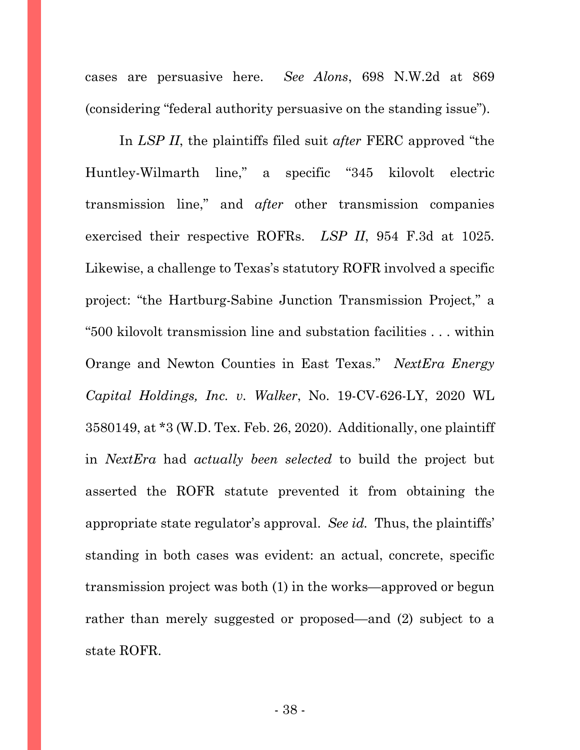cases are persuasive here. *See Alons*, 698 N.W.2d at 869 (considering "federal authority persuasive on the standing issue").

In *LSP II*, the plaintiffs filed suit *after* FERC approved "the Huntley-Wilmarth line," a specific "345 kilovolt electric transmission line," and *after* other transmission companies exercised their respective ROFRs. *LSP II*, 954 F.3d at 1025. Likewise, a challenge to Texas's statutory ROFR involved a specific project: "the Hartburg-Sabine Junction Transmission Project," a "500 kilovolt transmission line and substation facilities . . . within Orange and Newton Counties in East Texas." *NextEra Energy Capital Holdings, Inc. v. Walker*, No. 19-CV-626-LY, 2020 WL 3580149, at \*3 (W.D. Tex. Feb. 26, 2020). Additionally, one plaintiff in *NextEra* had *actually been selected* to build the project but asserted the ROFR statute prevented it from obtaining the appropriate state regulator's approval. *See id.* Thus, the plaintiffs' standing in both cases was evident: an actual, concrete, specific transmission project was both (1) in the works—approved or begun rather than merely suggested or proposed—and (2) subject to a state ROFR.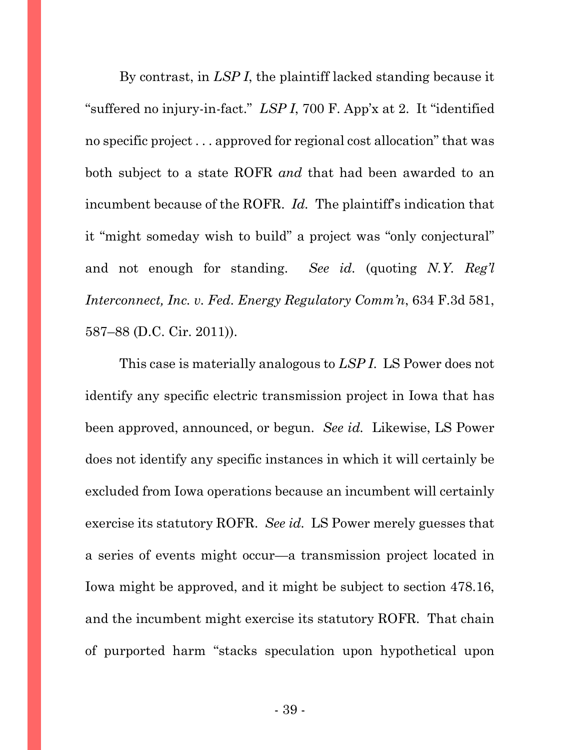By contrast, in *LSP I*, the plaintiff lacked standing because it "suffered no injury-in-fact." *LSP I*, 700 F. App'x at 2. It "identified no specific project . . . approved for regional cost allocation" that was both subject to a state ROFR *and* that had been awarded to an incumbent because of the ROFR. *Id.* The plaintiff's indication that it "might someday wish to build" a project was "only conjectural" and not enough for standing. *See id.* (quoting *N.Y. Reg'l Interconnect, Inc. v. Fed. Energy Regulatory Comm'n*, 634 F.3d 581, 587–88 (D.C. Cir. 2011)).

This case is materially analogous to *LSP I*. LS Power does not identify any specific electric transmission project in Iowa that has been approved, announced, or begun. *See id.* Likewise, LS Power does not identify any specific instances in which it will certainly be excluded from Iowa operations because an incumbent will certainly exercise its statutory ROFR. *See id.* LS Power merely guesses that a series of events might occur—a transmission project located in Iowa might be approved, and it might be subject to section 478.16, and the incumbent might exercise its statutory ROFR. That chain of purported harm "stacks speculation upon hypothetical upon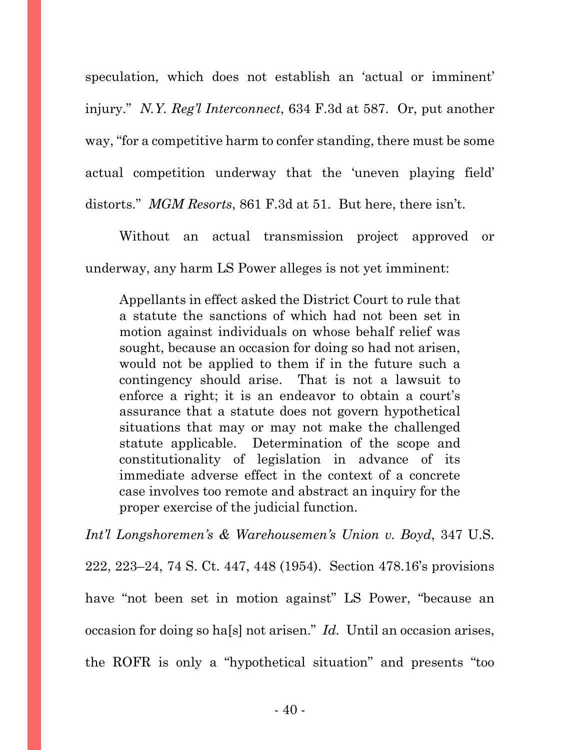speculation, which does not establish an 'actual or imminent' injury." *N.Y. Reg'l Interconnect*, 634 F.3d at 587. Or, put another way, "for a competitive harm to confer standing, there must be some actual competition underway that the 'uneven playing field' distorts." *MGM Resorts*, 861 F.3d at 51. But here, there isn't.

Without an actual transmission project approved or underway, any harm LS Power alleges is not yet imminent:

Appellants in effect asked the District Court to rule that a statute the sanctions of which had not been set in motion against individuals on whose behalf relief was sought, because an occasion for doing so had not arisen, would not be applied to them if in the future such a contingency should arise. That is not a lawsuit to enforce a right; it is an endeavor to obtain a court's assurance that a statute does not govern hypothetical situations that may or may not make the challenged statute applicable. Determination of the scope and constitutionality of legislation in advance of its immediate adverse effect in the context of a concrete case involves too remote and abstract an inquiry for the proper exercise of the judicial function.

*Int'l Longshoremen's & Warehousemen's Union v. Boyd*, 347 U.S. 222, 223–24, 74 S. Ct. 447, 448 (1954). Section 478.16's provisions have "not been set in motion against" LS Power, "because an occasion for doing so ha[s] not arisen." *Id.* Until an occasion arises, the ROFR is only a "hypothetical situation" and presents "too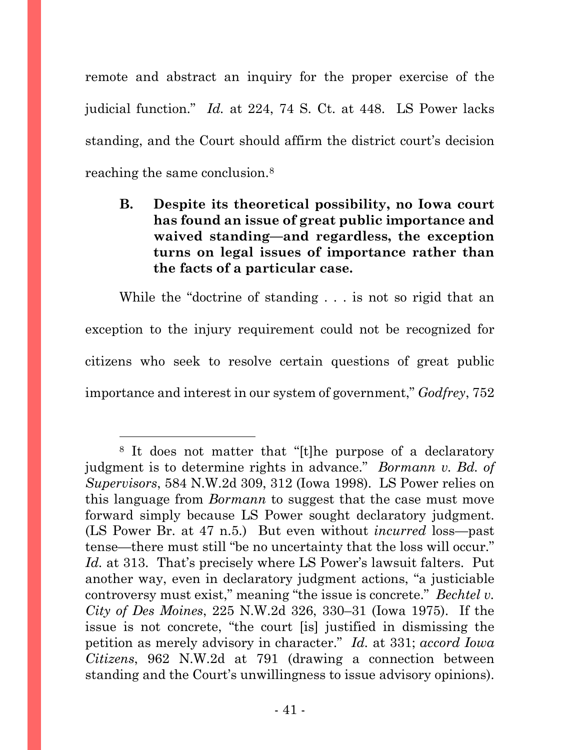remote and abstract an inquiry for the proper exercise of the judicial function." *Id.* at 224, 74 S. Ct. at 448. LS Power lacks standing, and the Court should affirm the district court's decision reaching the same conclusion[.8](#page-40-0)

**B. Despite its theoretical possibility, no Iowa court has found an issue of great public importance and waived standing—and regardless, the exception turns on legal issues of importance rather than the facts of a particular case.**

While the "doctrine of standing . . . is not so rigid that an exception to the injury requirement could not be recognized for citizens who seek to resolve certain questions of great public importance and interest in our system of government," *Godfrey*, 752

<span id="page-40-0"></span><sup>8</sup> It does not matter that "[t]he purpose of a declaratory judgment is to determine rights in advance." *Bormann v. Bd. of Supervisors*, 584 N.W.2d 309, 312 (Iowa 1998). LS Power relies on this language from *Bormann* to suggest that the case must move forward simply because LS Power sought declaratory judgment. (LS Power Br. at 47 n.5.) But even without *incurred* loss—past tense—there must still "be no uncertainty that the loss will occur." *Id.* at 313. That's precisely where LS Power's lawsuit falters. Put another way, even in declaratory judgment actions, "a justiciable controversy must exist," meaning "the issue is concrete." *Bechtel v. City of Des Moines*, 225 N.W.2d 326, 330–31 (Iowa 1975). If the issue is not concrete, "the court [is] justified in dismissing the petition as merely advisory in character." *Id.* at 331; *accord Iowa Citizens*, 962 N.W.2d at 791 (drawing a connection between standing and the Court's unwillingness to issue advisory opinions).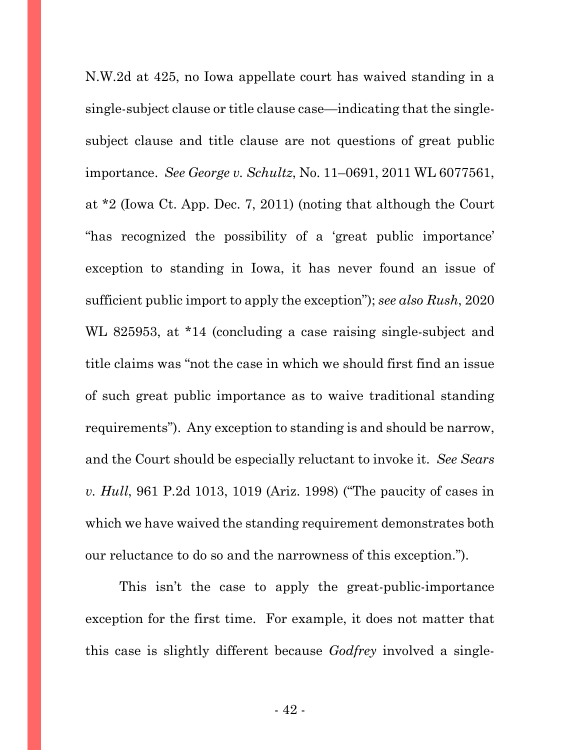N.W.2d at 425, no Iowa appellate court has waived standing in a single-subject clause or title clause case—indicating that the singlesubject clause and title clause are not questions of great public importance. *See George v. Schultz*, No. 11–0691, 2011 WL 6077561, at \*2 (Iowa Ct. App. Dec. 7, 2011) (noting that although the Court "has recognized the possibility of a 'great public importance' exception to standing in Iowa, it has never found an issue of sufficient public import to apply the exception"); *see also Rush*, 2020 WL 825953, at \*14 (concluding a case raising single-subject and title claims was "not the case in which we should first find an issue of such great public importance as to waive traditional standing requirements"). Any exception to standing is and should be narrow, and the Court should be especially reluctant to invoke it. *See Sears v. Hull*, 961 P.2d 1013, 1019 (Ariz. 1998) ("The paucity of cases in which we have waived the standing requirement demonstrates both our reluctance to do so and the narrowness of this exception.").

This isn't the case to apply the great-public-importance exception for the first time. For example, it does not matter that this case is slightly different because *Godfrey* involved a single-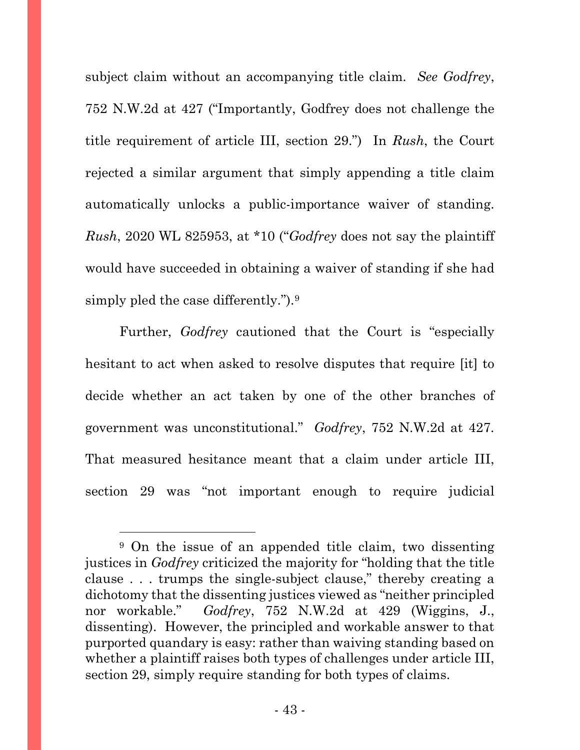subject claim without an accompanying title claim. *See Godfrey*, 752 N.W.2d at 427 ("Importantly, Godfrey does not challenge the title requirement of article III, section 29.") In *Rush*, the Court rejected a similar argument that simply appending a title claim automatically unlocks a public-importance waiver of standing. *Rush*, 2020 WL 825953, at \*10 ("*Godfrey* does not say the plaintiff would have succeeded in obtaining a waiver of standing if she had simply pled the case differently.").<sup>[9](#page-42-0)</sup>

Further, *Godfrey* cautioned that the Court is "especially hesitant to act when asked to resolve disputes that require [it] to decide whether an act taken by one of the other branches of government was unconstitutional." *Godfrey*, 752 N.W.2d at 427. That measured hesitance meant that a claim under article III, section 29 was "not important enough to require judicial

<span id="page-42-0"></span><sup>9</sup> On the issue of an appended title claim, two dissenting justices in *Godfrey* criticized the majority for "holding that the title clause . . . trumps the single-subject clause," thereby creating a dichotomy that the dissenting justices viewed as "neither principled nor workable." *Godfrey*, 752 N.W.2d at 429 (Wiggins, J., dissenting). However, the principled and workable answer to that purported quandary is easy: rather than waiving standing based on whether a plaintiff raises both types of challenges under article III, section 29, simply require standing for both types of claims.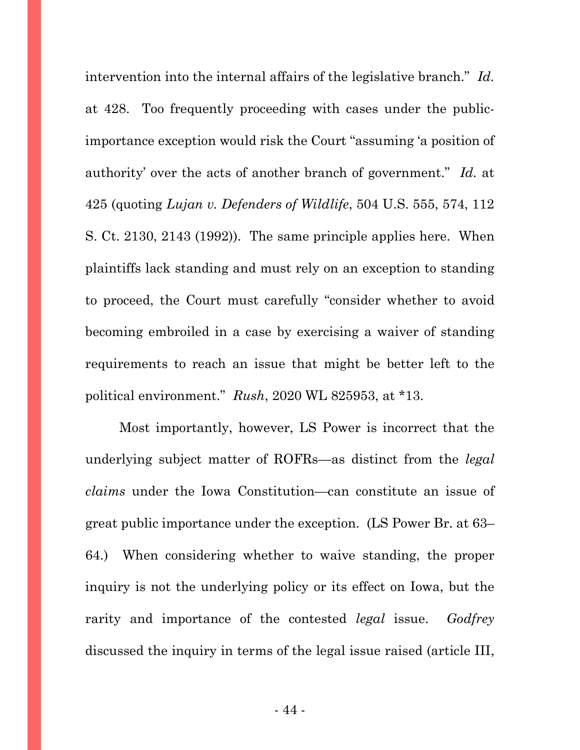intervention into the internal affairs of the legislative branch." *Id.* at 428. Too frequently proceeding with cases under the publicimportance exception would risk the Court "assuming 'a position of authority' over the acts of another branch of government." *Id.* at 425 (quoting *Lujan v. Defenders of Wildlife*, 504 U.S. 555, 574, 112 S. Ct. 2130, 2143 (1992)). The same principle applies here. When plaintiffs lack standing and must rely on an exception to standing to proceed, the Court must carefully "consider whether to avoid becoming embroiled in a case by exercising a waiver of standing requirements to reach an issue that might be better left to the political environment." *Rush*, 2020 WL 825953, at \*13.

Most importantly, however, LS Power is incorrect that the underlying subject matter of ROFRs—as distinct from the *legal claims* under the Iowa Constitution—can constitute an issue of great public importance under the exception. (LS Power Br. at 63– 64.) When considering whether to waive standing, the proper inquiry is not the underlying policy or its effect on Iowa, but the rarity and importance of the contested *legal* issue. *Godfrey* discussed the inquiry in terms of the legal issue raised (article III,

- 44 -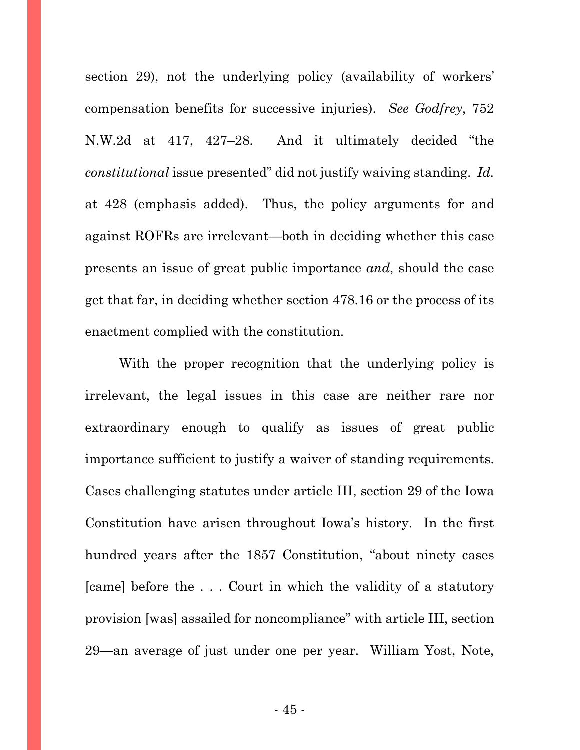section 29), not the underlying policy (availability of workers' compensation benefits for successive injuries). *See Godfrey*, 752 N.W.2d at 417, 427–28. And it ultimately decided "the *constitutional* issue presented" did not justify waiving standing. *Id.* at 428 (emphasis added). Thus, the policy arguments for and against ROFRs are irrelevant—both in deciding whether this case presents an issue of great public importance *and*, should the case get that far, in deciding whether section 478.16 or the process of its enactment complied with the constitution.

With the proper recognition that the underlying policy is irrelevant, the legal issues in this case are neither rare nor extraordinary enough to qualify as issues of great public importance sufficient to justify a waiver of standing requirements. Cases challenging statutes under article III, section 29 of the Iowa Constitution have arisen throughout Iowa's history. In the first hundred years after the 1857 Constitution, "about ninety cases [came] before the . . . Court in which the validity of a statutory provision [was] assailed for noncompliance" with article III, section 29—an average of just under one per year. William Yost, Note,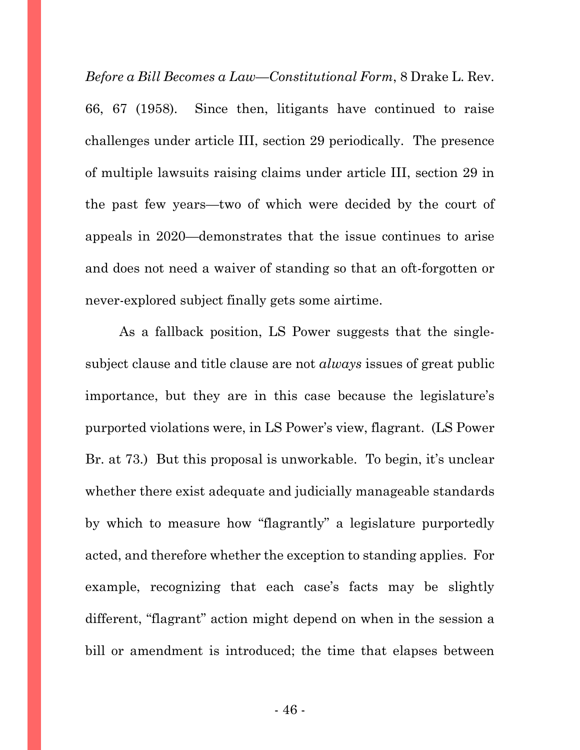*Before a Bill Becomes a Law—Constitutional Form*, 8 Drake L. Rev. 66, 67 (1958). Since then, litigants have continued to raise challenges under article III, section 29 periodically. The presence of multiple lawsuits raising claims under article III, section 29 in the past few years—two of which were decided by the court of appeals in 2020—demonstrates that the issue continues to arise and does not need a waiver of standing so that an oft-forgotten or never-explored subject finally gets some airtime.

As a fallback position, LS Power suggests that the singlesubject clause and title clause are not *always* issues of great public importance, but they are in this case because the legislature's purported violations were, in LS Power's view, flagrant. (LS Power Br. at 73.) But this proposal is unworkable. To begin, it's unclear whether there exist adequate and judicially manageable standards by which to measure how "flagrantly" a legislature purportedly acted, and therefore whether the exception to standing applies. For example, recognizing that each case's facts may be slightly different, "flagrant" action might depend on when in the session a bill or amendment is introduced; the time that elapses between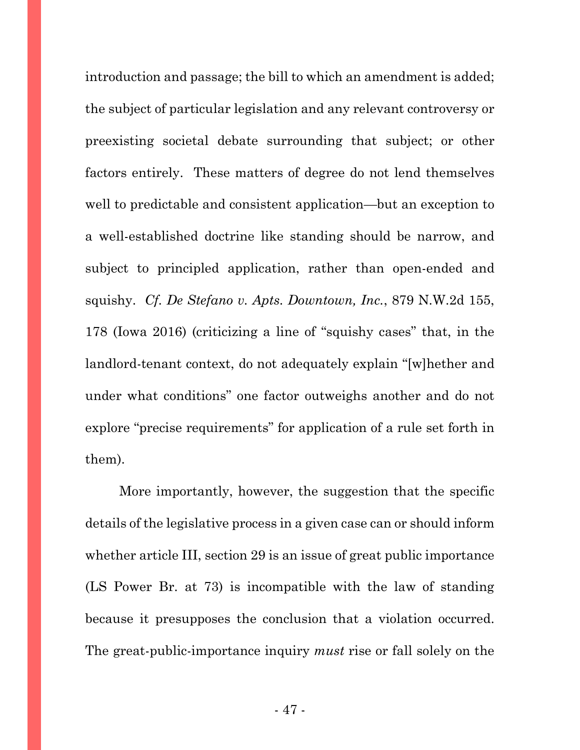introduction and passage; the bill to which an amendment is added; the subject of particular legislation and any relevant controversy or preexisting societal debate surrounding that subject; or other factors entirely. These matters of degree do not lend themselves well to predictable and consistent application—but an exception to a well-established doctrine like standing should be narrow, and subject to principled application, rather than open-ended and squishy. *Cf. De Stefano v. Apts. Downtown, Inc.*, 879 N.W.2d 155, 178 (Iowa 2016) (criticizing a line of "squishy cases" that, in the landlord-tenant context, do not adequately explain "[w]hether and under what conditions" one factor outweighs another and do not explore "precise requirements" for application of a rule set forth in them).

More importantly, however, the suggestion that the specific details of the legislative process in a given case can or should inform whether article III, section 29 is an issue of great public importance (LS Power Br. at 73) is incompatible with the law of standing because it presupposes the conclusion that a violation occurred. The great-public-importance inquiry *must* rise or fall solely on the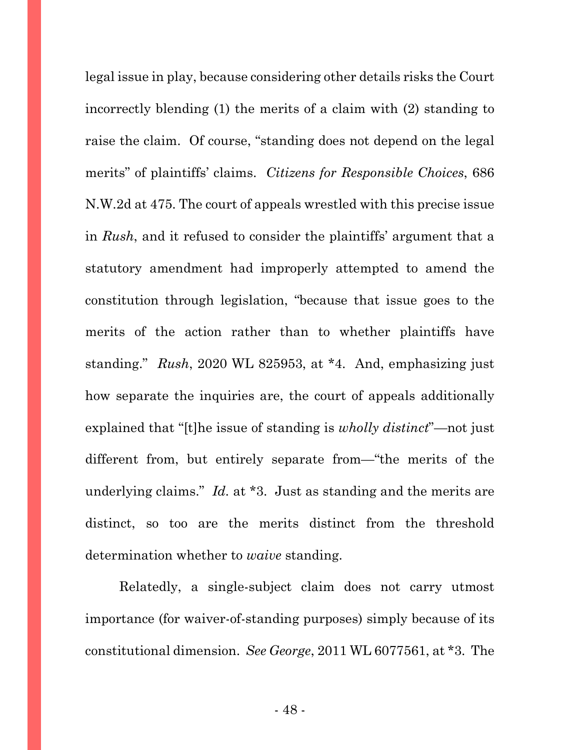legal issue in play, because considering other details risks the Court incorrectly blending (1) the merits of a claim with (2) standing to raise the claim. Of course, "standing does not depend on the legal merits" of plaintiffs' claims. *Citizens for Responsible Choices*, 686 N.W.2d at 475. The court of appeals wrestled with this precise issue in *Rush*, and it refused to consider the plaintiffs' argument that a statutory amendment had improperly attempted to amend the constitution through legislation, "because that issue goes to the merits of the action rather than to whether plaintiffs have standing." *Rush*, 2020 WL 825953, at \*4. And, emphasizing just how separate the inquiries are, the court of appeals additionally explained that "[t]he issue of standing is *wholly distinct*"—not just different from, but entirely separate from—"the merits of the underlying claims." *Id.* at \*3. Just as standing and the merits are distinct, so too are the merits distinct from the threshold determination whether to *waive* standing.

Relatedly, a single-subject claim does not carry utmost importance (for waiver-of-standing purposes) simply because of its constitutional dimension. *See George*, 2011 WL 6077561, at \*3. The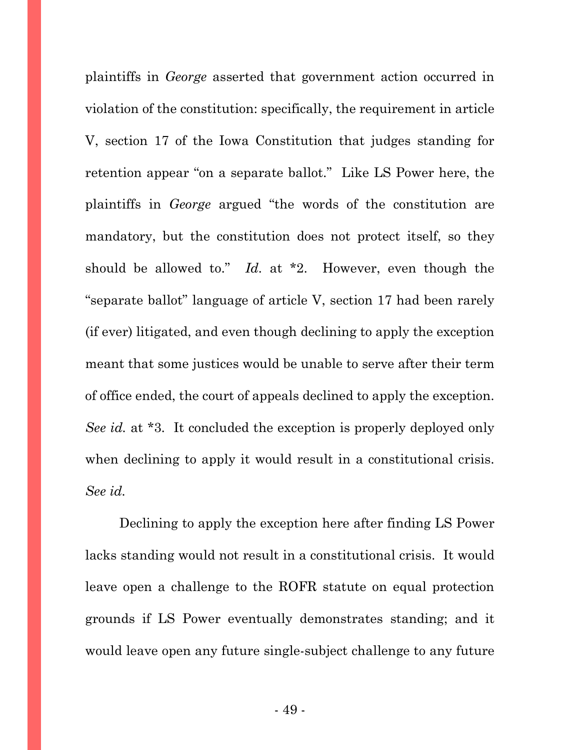plaintiffs in *George* asserted that government action occurred in violation of the constitution: specifically, the requirement in article V, section 17 of the Iowa Constitution that judges standing for retention appear "on a separate ballot." Like LS Power here, the plaintiffs in *George* argued "the words of the constitution are mandatory, but the constitution does not protect itself, so they should be allowed to." *Id.* at \*2. However, even though the "separate ballot" language of article V, section 17 had been rarely (if ever) litigated, and even though declining to apply the exception meant that some justices would be unable to serve after their term of office ended, the court of appeals declined to apply the exception. *See id.* at \*3. It concluded the exception is properly deployed only when declining to apply it would result in a constitutional crisis. *See id.*

Declining to apply the exception here after finding LS Power lacks standing would not result in a constitutional crisis. It would leave open a challenge to the ROFR statute on equal protection grounds if LS Power eventually demonstrates standing; and it would leave open any future single-subject challenge to any future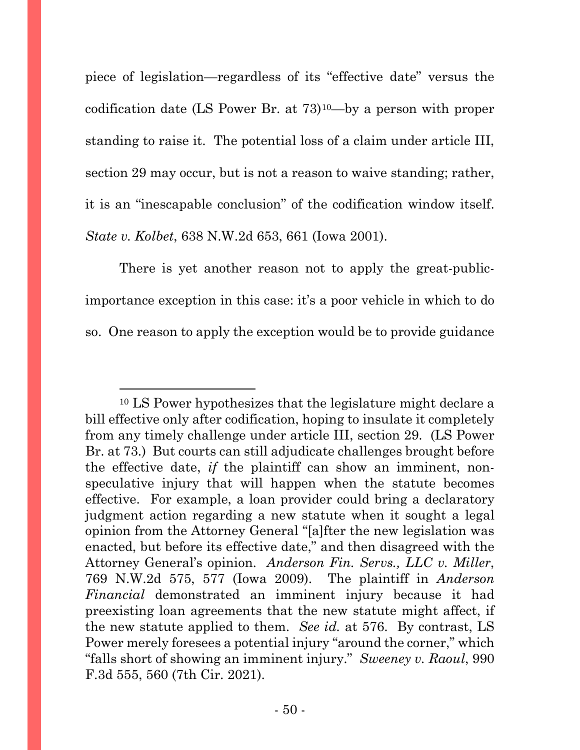piece of legislation—regardless of its "effective date" versus the codification date (LS Power Br. at 73)[10—](#page-49-0)by a person with proper standing to raise it. The potential loss of a claim under article III, section 29 may occur, but is not a reason to waive standing; rather, it is an "inescapable conclusion" of the codification window itself. *State v. Kolbet*, 638 N.W.2d 653, 661 (Iowa 2001).

There is yet another reason not to apply the great-publicimportance exception in this case: it's a poor vehicle in which to do so. One reason to apply the exception would be to provide guidance

<span id="page-49-0"></span><sup>10</sup> LS Power hypothesizes that the legislature might declare a bill effective only after codification, hoping to insulate it completely from any timely challenge under article III, section 29. (LS Power Br. at 73.) But courts can still adjudicate challenges brought before the effective date, *if* the plaintiff can show an imminent, nonspeculative injury that will happen when the statute becomes effective. For example, a loan provider could bring a declaratory judgment action regarding a new statute when it sought a legal opinion from the Attorney General "[a]fter the new legislation was enacted, but before its effective date," and then disagreed with the Attorney General's opinion. *Anderson Fin. Servs., LLC v. Miller*, 769 N.W.2d 575, 577 (Iowa 2009). The plaintiff in *Anderson Financial* demonstrated an imminent injury because it had preexisting loan agreements that the new statute might affect, if the new statute applied to them. *See id.* at 576. By contrast, LS Power merely foresees a potential injury "around the corner," which "falls short of showing an imminent injury." *Sweeney v. Raoul*, 990 F.3d 555, 560 (7th Cir. 2021).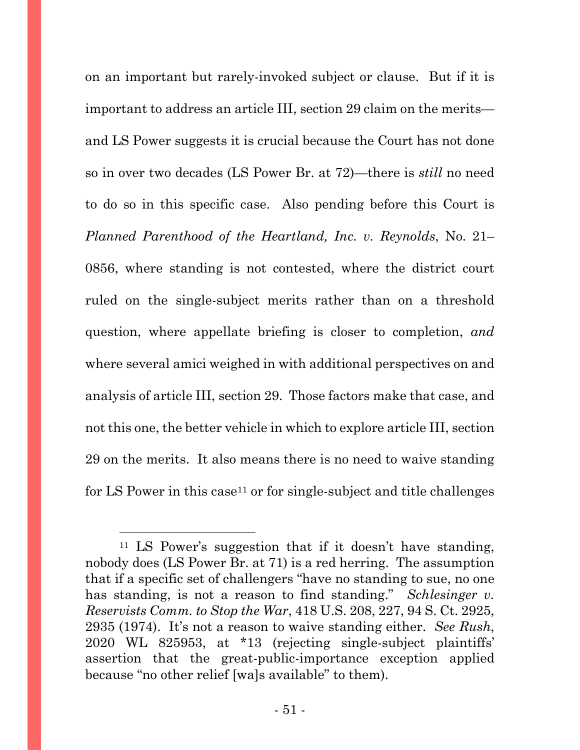on an important but rarely-invoked subject or clause. But if it is important to address an article III, section 29 claim on the merits and LS Power suggests it is crucial because the Court has not done so in over two decades (LS Power Br. at 72)—there is *still* no need to do so in this specific case. Also pending before this Court is *Planned Parenthood of the Heartland, Inc. v. Reynolds*, No. 21– 0856, where standing is not contested, where the district court ruled on the single-subject merits rather than on a threshold question, where appellate briefing is closer to completion, *and* where several amici weighed in with additional perspectives on and analysis of article III, section 29. Those factors make that case, and not this one, the better vehicle in which to explore article III, section 29 on the merits. It also means there is no need to waive standing for LS Power in this case<sup>[11](#page-50-0)</sup> or for single-subject and title challenges

<span id="page-50-0"></span><sup>11</sup> LS Power's suggestion that if it doesn't have standing, nobody does (LS Power Br. at 71) is a red herring. The assumption that if a specific set of challengers "have no standing to sue, no one has standing, is not a reason to find standing." *Schlesinger v. Reservists Comm. to Stop the War*, 418 U.S. 208, 227, 94 S. Ct. 2925, 2935 (1974). It's not a reason to waive standing either. *See Rush*, 2020 WL 825953, at \*13 (rejecting single-subject plaintiffs' assertion that the great-public-importance exception applied because "no other relief [wa]s available" to them).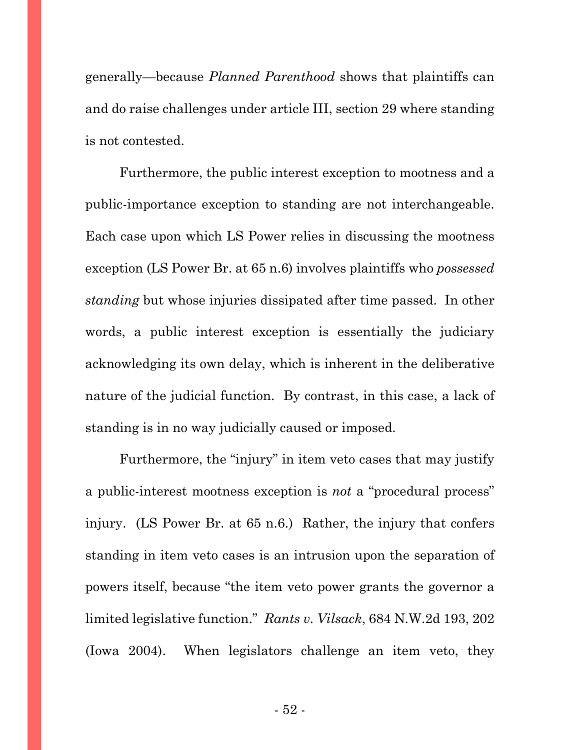generally—because *Planned Parenthood* shows that plaintiffs can and do raise challenges under article III, section 29 where standing is not contested.

Furthermore, the public interest exception to mootness and a public-importance exception to standing are not interchangeable. Each case upon which LS Power relies in discussing the mootness exception (LS Power Br. at 65 n.6) involves plaintiffs who *possessed standing* but whose injuries dissipated after time passed. In other words, a public interest exception is essentially the judiciary acknowledging its own delay, which is inherent in the deliberative nature of the judicial function. By contrast, in this case, a lack of standing is in no way judicially caused or imposed.

Furthermore, the "injury" in item veto cases that may justify a public-interest mootness exception is *not* a "procedural process" injury. (LS Power Br. at 65 n.6.) Rather, the injury that confers standing in item veto cases is an intrusion upon the separation of powers itself, because "the item veto power grants the governor a limited legislative function." *Rants v. Vilsack*, 684 N.W.2d 193, 202 (Iowa 2004). When legislators challenge an item veto, they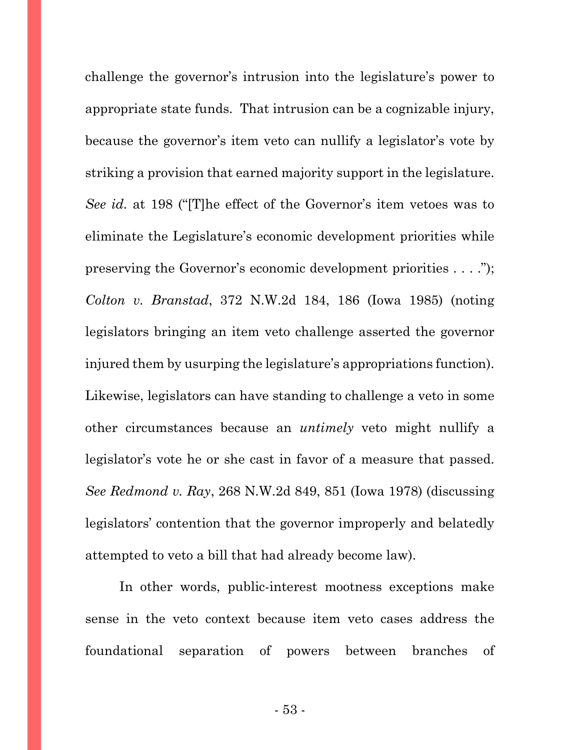challenge the governor's intrusion into the legislature's power to appropriate state funds. That intrusion can be a cognizable injury, because the governor's item veto can nullify a legislator's vote by striking a provision that earned majority support in the legislature. *See id.* at 198 ("[T]he effect of the Governor's item vetoes was to eliminate the Legislature's economic development priorities while preserving the Governor's economic development priorities . . . ."); *Colton v. Branstad*, 372 N.W.2d 184, 186 (Iowa 1985) (noting legislators bringing an item veto challenge asserted the governor injured them by usurping the legislature's appropriations function). Likewise, legislators can have standing to challenge a veto in some other circumstances because an *untimely* veto might nullify a legislator's vote he or she cast in favor of a measure that passed. *See Redmond v. Ray*, 268 N.W.2d 849, 851 (Iowa 1978) (discussing legislators' contention that the governor improperly and belatedly attempted to veto a bill that had already become law).

In other words, public-interest mootness exceptions make sense in the veto context because item veto cases address the foundational separation of powers between branches of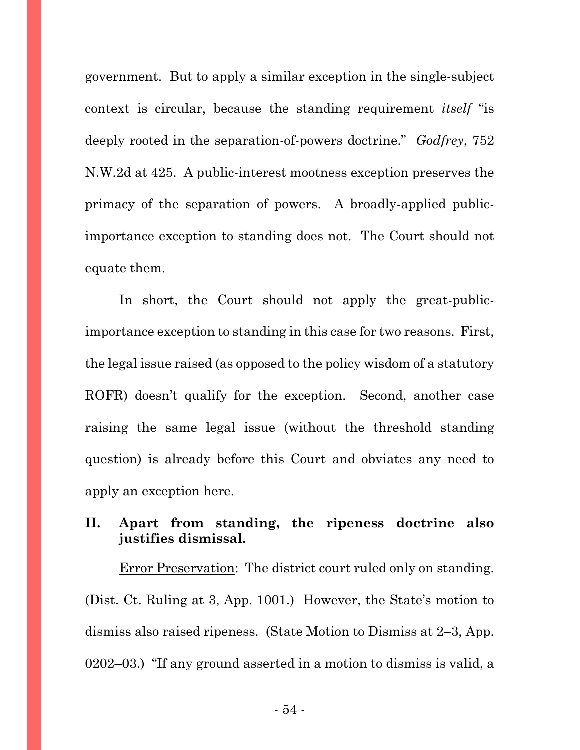government. But to apply a similar exception in the single-subject context is circular, because the standing requirement *itself* "is deeply rooted in the separation-of-powers doctrine." *Godfrey*, 752 N.W.2d at 425. A public-interest mootness exception preserves the primacy of the separation of powers. A broadly-applied publicimportance exception to standing does not. The Court should not equate them.

In short, the Court should not apply the great-publicimportance exception to standing in this case for two reasons. First, the legal issue raised (as opposed to the policy wisdom of a statutory ROFR) doesn't qualify for the exception. Second, another case raising the same legal issue (without the threshold standing question) is already before this Court and obviates any need to apply an exception here.

## **II. Apart from standing, the ripeness doctrine also justifies dismissal.**

Error Preservation: The district court ruled only on standing. (Dist. Ct. Ruling at 3, App. 1001.) However, the State's motion to dismiss also raised ripeness. (State Motion to Dismiss at 2–3, App. 0202–03.) "If any ground asserted in a motion to dismiss is valid, a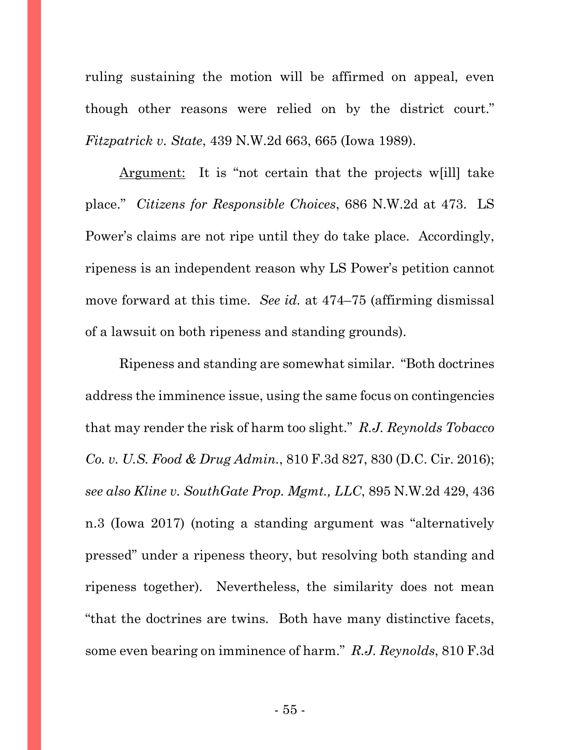ruling sustaining the motion will be affirmed on appeal, even though other reasons were relied on by the district court." *Fitzpatrick v. State*, 439 N.W.2d 663, 665 (Iowa 1989).

Argument: It is "not certain that the projects w[ill] take place." *Citizens for Responsible Choices*, 686 N.W.2d at 473. LS Power's claims are not ripe until they do take place. Accordingly, ripeness is an independent reason why LS Power's petition cannot move forward at this time. *See id.* at 474–75 (affirming dismissal of a lawsuit on both ripeness and standing grounds).

Ripeness and standing are somewhat similar. "Both doctrines address the imminence issue, using the same focus on contingencies that may render the risk of harm too slight." *R.J. Reynolds Tobacco Co. v. U.S. Food & Drug Admin.*, 810 F.3d 827, 830 (D.C. Cir. 2016); *see also Kline v. SouthGate Prop. Mgmt., LLC*, 895 N.W.2d 429, 436 n.3 (Iowa 2017) (noting a standing argument was "alternatively pressed" under a ripeness theory, but resolving both standing and ripeness together). Nevertheless, the similarity does not mean "that the doctrines are twins. Both have many distinctive facets, some even bearing on imminence of harm." *R.J. Reynolds*, 810 F.3d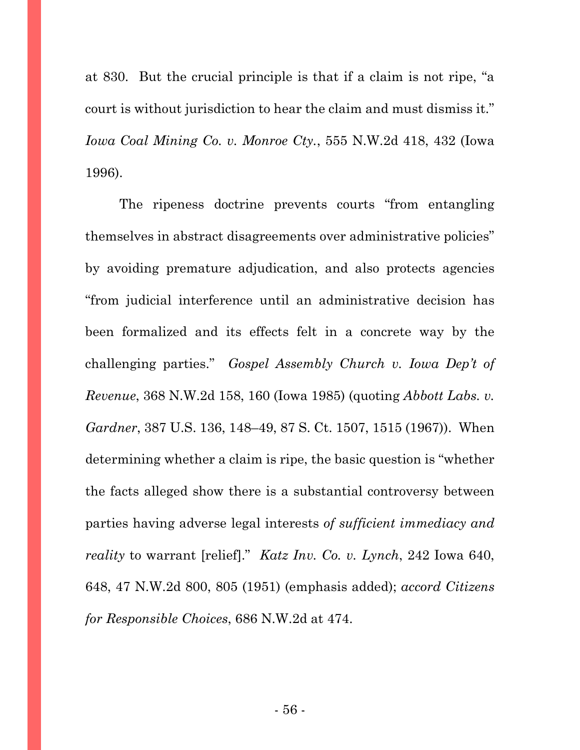at 830. But the crucial principle is that if a claim is not ripe, "a court is without jurisdiction to hear the claim and must dismiss it." *Iowa Coal Mining Co. v. Monroe Cty.*, 555 N.W.2d 418, 432 (Iowa 1996).

The ripeness doctrine prevents courts "from entangling themselves in abstract disagreements over administrative policies" by avoiding premature adjudication, and also protects agencies "from judicial interference until an administrative decision has been formalized and its effects felt in a concrete way by the challenging parties." *Gospel Assembly Church v. Iowa Dep't of Revenue*, 368 N.W.2d 158, 160 (Iowa 1985) (quoting *Abbott Labs. v. Gardner*, 387 U.S. 136, 148–49, 87 S. Ct. 1507, 1515 (1967)). When determining whether a claim is ripe, the basic question is "whether the facts alleged show there is a substantial controversy between parties having adverse legal interests *of sufficient immediacy and reality* to warrant [relief]." *Katz Inv. Co. v. Lynch*, 242 Iowa 640, 648, 47 N.W.2d 800, 805 (1951) (emphasis added); *accord Citizens for Responsible Choices*, 686 N.W.2d at 474.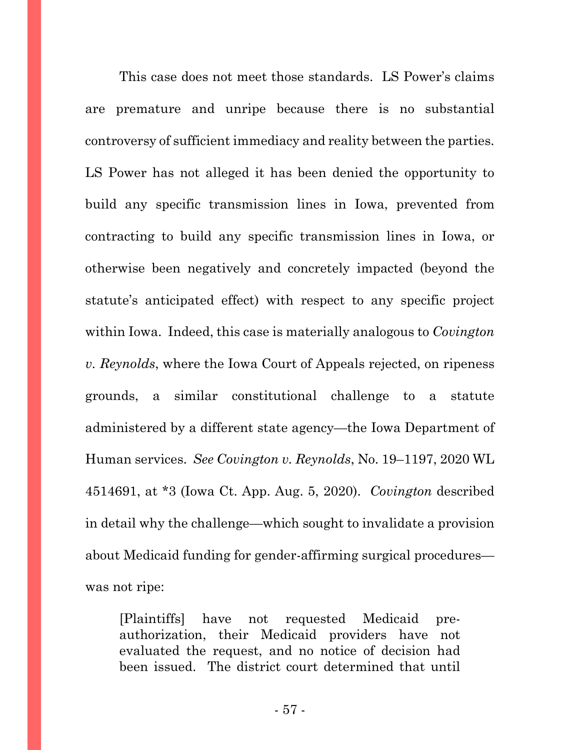This case does not meet those standards. LS Power's claims are premature and unripe because there is no substantial controversy of sufficient immediacy and reality between the parties. LS Power has not alleged it has been denied the opportunity to build any specific transmission lines in Iowa, prevented from contracting to build any specific transmission lines in Iowa, or otherwise been negatively and concretely impacted (beyond the statute's anticipated effect) with respect to any specific project within Iowa. Indeed, this case is materially analogous to *Covington v. Reynolds*, where the Iowa Court of Appeals rejected, on ripeness grounds, a similar constitutional challenge to a statute administered by a different state agency—the Iowa Department of Human services. *See Covington v. Reynolds*, No. 19–1197, 2020 WL 4514691, at \*3 (Iowa Ct. App. Aug. 5, 2020). *Covington* described in detail why the challenge—which sought to invalidate a provision about Medicaid funding for gender-affirming surgical procedures was not ripe:

[Plaintiffs] have not requested Medicaid preauthorization, their Medicaid providers have not evaluated the request, and no notice of decision had been issued. The district court determined that until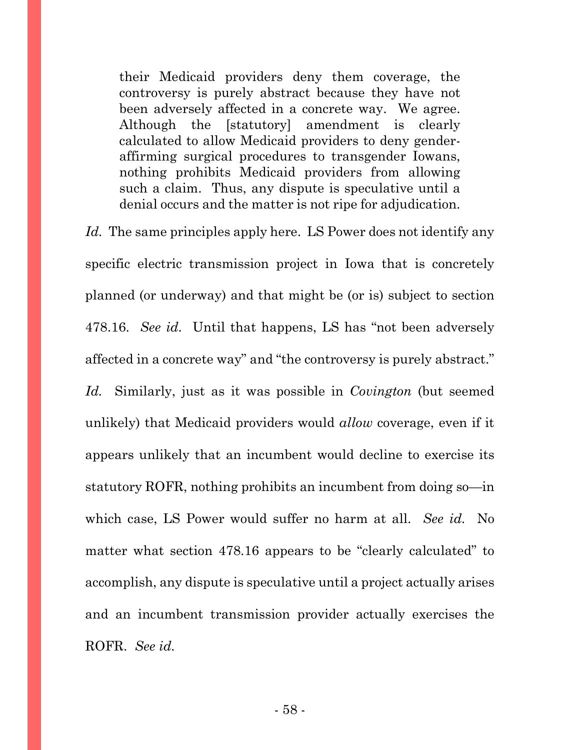their Medicaid providers deny them coverage, the controversy is purely abstract because they have not been adversely affected in a concrete way. We agree. Although the [statutory] amendment is clearly calculated to allow Medicaid providers to deny genderaffirming surgical procedures to transgender Iowans, nothing prohibits Medicaid providers from allowing such a claim. Thus, any dispute is speculative until a denial occurs and the matter is not ripe for adjudication.

*Id.* The same principles apply here. LS Power does not identify any specific electric transmission project in Iowa that is concretely planned (or underway) and that might be (or is) subject to section 478.16. *See id.* Until that happens, LS has "not been adversely affected in a concrete way" and "the controversy is purely abstract." *Id.* Similarly, just as it was possible in *Covington* (but seemed unlikely) that Medicaid providers would *allow* coverage, even if it appears unlikely that an incumbent would decline to exercise its statutory ROFR, nothing prohibits an incumbent from doing so—in which case, LS Power would suffer no harm at all. *See id.* No matter what section 478.16 appears to be "clearly calculated" to accomplish, any dispute is speculative until a project actually arises and an incumbent transmission provider actually exercises the ROFR. *See id.*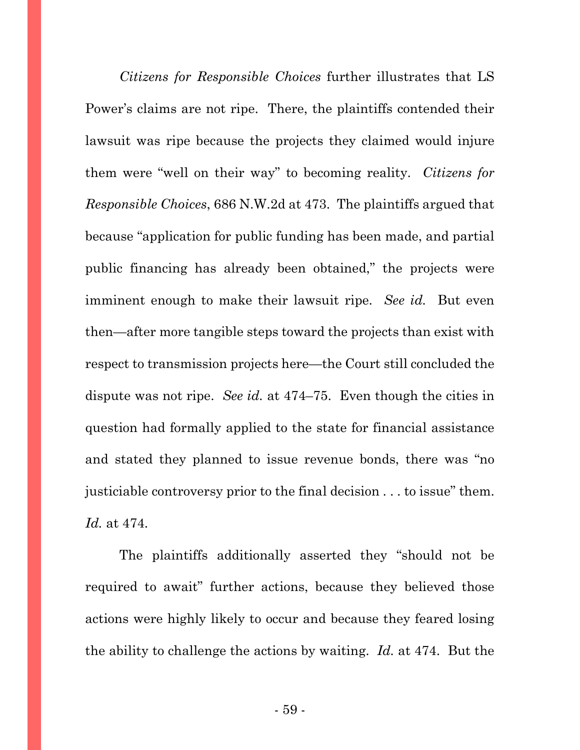*Citizens for Responsible Choices* further illustrates that LS Power's claims are not ripe. There, the plaintiffs contended their lawsuit was ripe because the projects they claimed would injure them were "well on their way" to becoming reality. *Citizens for Responsible Choices*, 686 N.W.2d at 473. The plaintiffs argued that because "application for public funding has been made, and partial public financing has already been obtained," the projects were imminent enough to make their lawsuit ripe. *See id.* But even then—after more tangible steps toward the projects than exist with respect to transmission projects here—the Court still concluded the dispute was not ripe. *See id.* at 474–75. Even though the cities in question had formally applied to the state for financial assistance and stated they planned to issue revenue bonds, there was "no justiciable controversy prior to the final decision . . . to issue" them. *Id.* at 474.

The plaintiffs additionally asserted they "should not be required to await" further actions, because they believed those actions were highly likely to occur and because they feared losing the ability to challenge the actions by waiting. *Id.* at 474. But the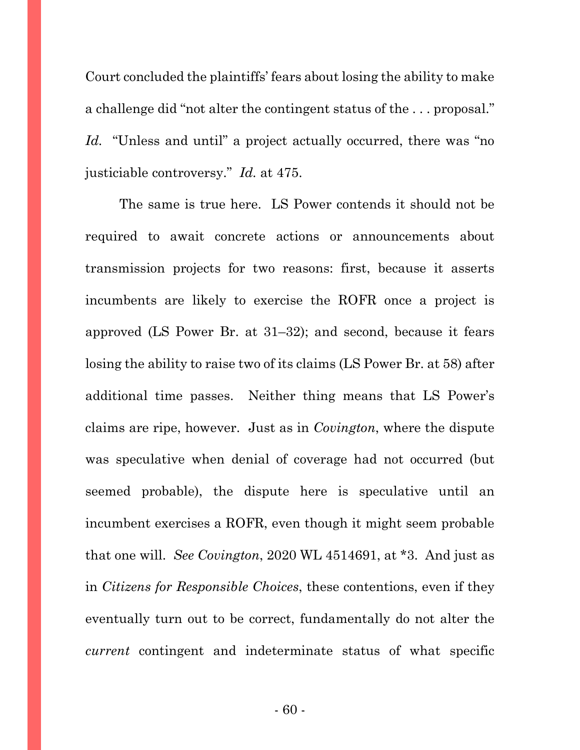Court concluded the plaintiffs' fears about losing the ability to make a challenge did "not alter the contingent status of the . . . proposal." *Id.* "Unless and until" a project actually occurred, there was "no justiciable controversy." *Id.* at 475.

The same is true here. LS Power contends it should not be required to await concrete actions or announcements about transmission projects for two reasons: first, because it asserts incumbents are likely to exercise the ROFR once a project is approved (LS Power Br. at 31–32); and second, because it fears losing the ability to raise two of its claims (LS Power Br. at 58) after additional time passes. Neither thing means that LS Power's claims are ripe, however. Just as in *Covington*, where the dispute was speculative when denial of coverage had not occurred (but seemed probable), the dispute here is speculative until an incumbent exercises a ROFR, even though it might seem probable that one will. *See Covington*, 2020 WL 4514691, at \*3. And just as in *Citizens for Responsible Choices*, these contentions, even if they eventually turn out to be correct, fundamentally do not alter the *current* contingent and indeterminate status of what specific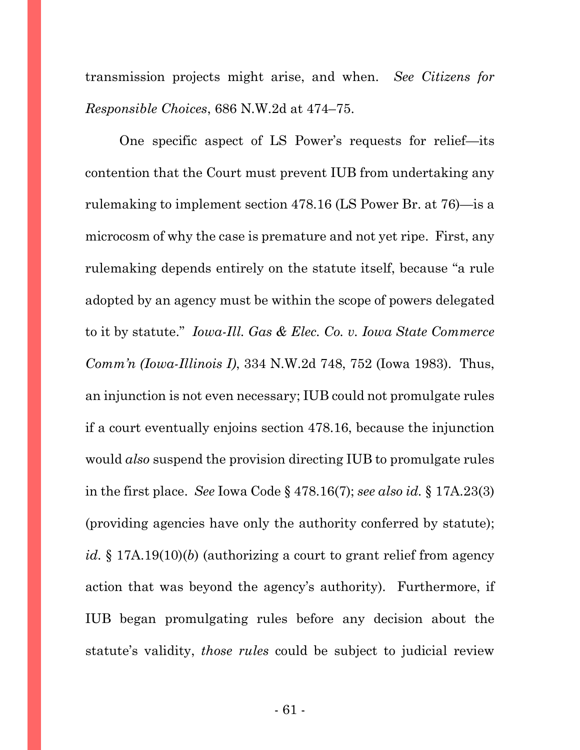transmission projects might arise, and when. *See Citizens for Responsible Choices*, 686 N.W.2d at 474–75.

One specific aspect of LS Power's requests for relief—its contention that the Court must prevent IUB from undertaking any rulemaking to implement section 478.16 (LS Power Br. at 76)—is a microcosm of why the case is premature and not yet ripe. First, any rulemaking depends entirely on the statute itself, because "a rule adopted by an agency must be within the scope of powers delegated to it by statute." *Iowa-Ill. Gas & Elec. Co. v. Iowa State Commerce Comm'n (Iowa-Illinois I)*, 334 N.W.2d 748, 752 (Iowa 1983). Thus, an injunction is not even necessary; IUB could not promulgate rules if a court eventually enjoins section 478.16, because the injunction would *also* suspend the provision directing IUB to promulgate rules in the first place. *See* Iowa Code § 478.16(7); *see also id.* § 17A.23(3) (providing agencies have only the authority conferred by statute); *id.* § 17A.19(10)(*b*) (authorizing a court to grant relief from agency action that was beyond the agency's authority). Furthermore, if IUB began promulgating rules before any decision about the statute's validity, *those rules* could be subject to judicial review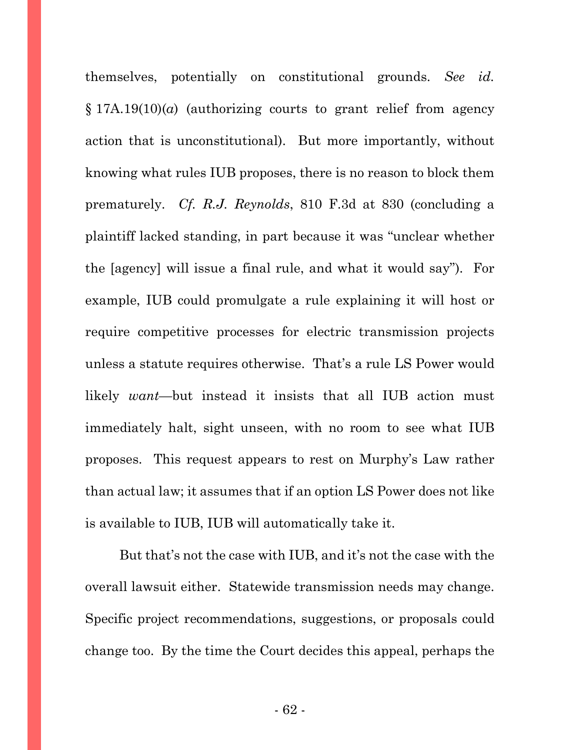themselves, potentially on constitutional grounds. *See id.* § 17A.19(10)(*a*) (authorizing courts to grant relief from agency action that is unconstitutional). But more importantly, without knowing what rules IUB proposes, there is no reason to block them prematurely. *Cf. R.J. Reynolds*, 810 F.3d at 830 (concluding a plaintiff lacked standing, in part because it was "unclear whether the [agency] will issue a final rule, and what it would say").For example, IUB could promulgate a rule explaining it will host or require competitive processes for electric transmission projects unless a statute requires otherwise. That's a rule LS Power would likely *want*—but instead it insists that all IUB action must immediately halt, sight unseen, with no room to see what IUB proposes. This request appears to rest on Murphy's Law rather than actual law; it assumes that if an option LS Power does not like is available to IUB, IUB will automatically take it.

But that's not the case with IUB, and it's not the case with the overall lawsuit either. Statewide transmission needs may change. Specific project recommendations, suggestions, or proposals could change too. By the time the Court decides this appeal, perhaps the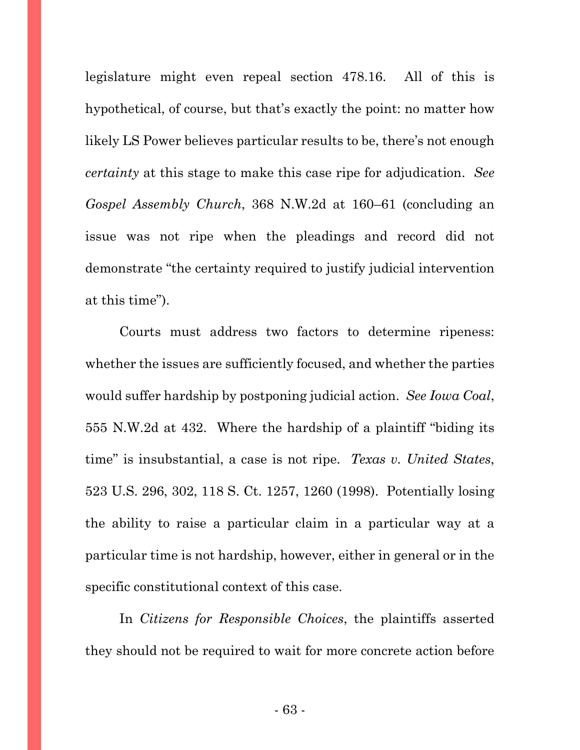legislature might even repeal section 478.16. All of this is hypothetical, of course, but that's exactly the point: no matter how likely LS Power believes particular results to be, there's not enough *certainty* at this stage to make this case ripe for adjudication. *See Gospel Assembly Church*, 368 N.W.2d at 160–61 (concluding an issue was not ripe when the pleadings and record did not demonstrate "the certainty required to justify judicial intervention at this time").

Courts must address two factors to determine ripeness: whether the issues are sufficiently focused, and whether the parties would suffer hardship by postponing judicial action. *See Iowa Coal*, 555 N.W.2d at 432.Where the hardship of a plaintiff "biding its time" is insubstantial, a case is not ripe. *Texas v. United States*, 523 U.S. 296, 302, 118 S. Ct. 1257, 1260 (1998). Potentially losing the ability to raise a particular claim in a particular way at a particular time is not hardship, however, either in general or in the specific constitutional context of this case.

In *Citizens for Responsible Choices*, the plaintiffs asserted they should not be required to wait for more concrete action before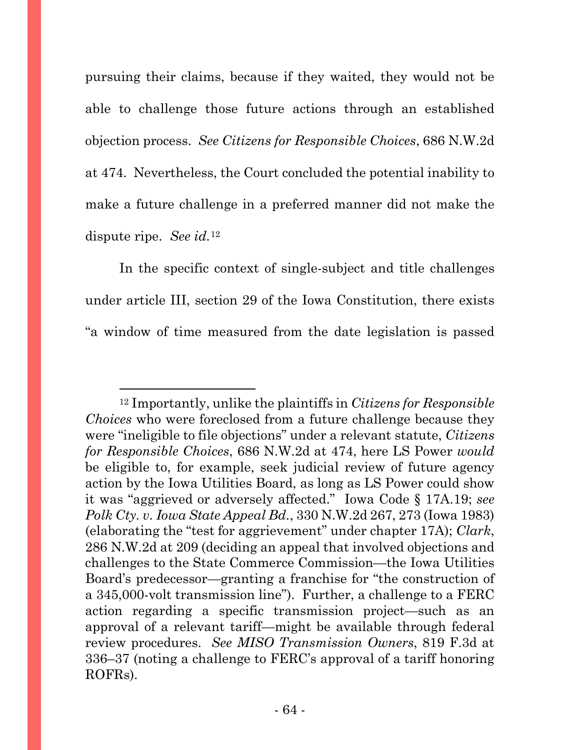pursuing their claims, because if they waited, they would not be able to challenge those future actions through an established objection process. *See Citizens for Responsible Choices*, 686 N.W.2d at 474. Nevertheless, the Court concluded the potential inability to make a future challenge in a preferred manner did not make the dispute ripe. *See id.*[12](#page-63-0)

In the specific context of single-subject and title challenges under article III, section 29 of the Iowa Constitution, there exists "a window of time measured from the date legislation is passed

<span id="page-63-0"></span><sup>12</sup> Importantly, unlike the plaintiffs in *Citizens for Responsible Choices* who were foreclosed from a future challenge because they were "ineligible to file objections" under a relevant statute, *Citizens for Responsible Choices*, 686 N.W.2d at 474, here LS Power *would* be eligible to, for example, seek judicial review of future agency action by the Iowa Utilities Board, as long as LS Power could show it was "aggrieved or adversely affected." Iowa Code § 17A.19; *see Polk Cty. v. Iowa State Appeal Bd.*, 330 N.W.2d 267, 273 (Iowa 1983) (elaborating the "test for aggrievement" under chapter 17A); *Clark*, 286 N.W.2d at 209 (deciding an appeal that involved objections and challenges to the State Commerce Commission—the Iowa Utilities Board's predecessor—granting a franchise for "the construction of a 345,000-volt transmission line"). Further, a challenge to a FERC action regarding a specific transmission project—such as an approval of a relevant tariff—might be available through federal review procedures. *See MISO Transmission Owners*, 819 F.3d at 336–37 (noting a challenge to FERC's approval of a tariff honoring ROFRs).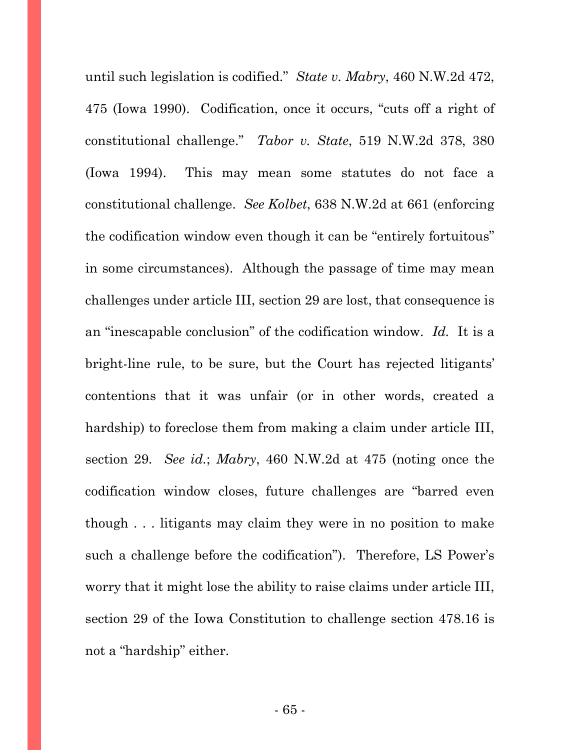until such legislation is codified." *State v. Mabry*, 460 N.W.2d 472, 475 (Iowa 1990).Codification, once it occurs, "cuts off a right of constitutional challenge." *Tabor v. State*, 519 N.W.2d 378, 380 (Iowa 1994). This may mean some statutes do not face a constitutional challenge. *See Kolbet*, 638 N.W.2d at 661 (enforcing the codification window even though it can be "entirely fortuitous" in some circumstances). Although the passage of time may mean challenges under article III, section 29 are lost, that consequence is an "inescapable conclusion" of the codification window. *Id.* It is a bright-line rule, to be sure, but the Court has rejected litigants' contentions that it was unfair (or in other words, created a hardship) to foreclose them from making a claim under article III, section 29. *See id.*; *Mabry*, 460 N.W.2d at 475 (noting once the codification window closes, future challenges are "barred even though . . . litigants may claim they were in no position to make such a challenge before the codification"). Therefore, LS Power's worry that it might lose the ability to raise claims under article III, section 29 of the Iowa Constitution to challenge section 478.16 is not a "hardship" either.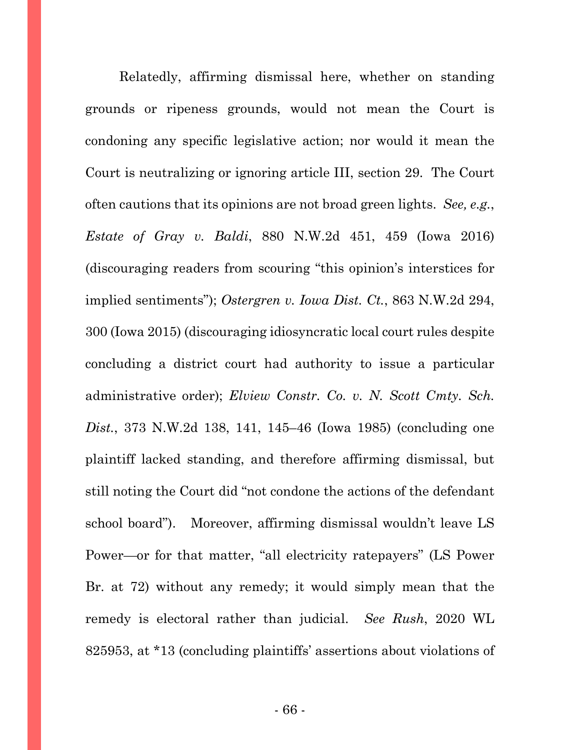Relatedly, affirming dismissal here, whether on standing grounds or ripeness grounds, would not mean the Court is condoning any specific legislative action; nor would it mean the Court is neutralizing or ignoring article III, section 29. The Court often cautions that its opinions are not broad green lights. *See, e.g.*, *Estate of Gray v. Baldi*, 880 N.W.2d 451, 459 (Iowa 2016) (discouraging readers from scouring "this opinion's interstices for implied sentiments"); *Ostergren v. Iowa Dist. Ct.*, 863 N.W.2d 294, 300 (Iowa 2015) (discouraging idiosyncratic local court rules despite concluding a district court had authority to issue a particular administrative order); *Elview Constr. Co. v. N. Scott Cmty. Sch. Dist.*, 373 N.W.2d 138, 141, 145–46 (Iowa 1985) (concluding one plaintiff lacked standing, and therefore affirming dismissal, but still noting the Court did "not condone the actions of the defendant school board"). Moreover, affirming dismissal wouldn't leave LS Power—or for that matter, "all electricity ratepayers" (LS Power Br. at 72) without any remedy; it would simply mean that the remedy is electoral rather than judicial. *See Rush*, 2020 WL 825953, at \*13 (concluding plaintiffs' assertions about violations of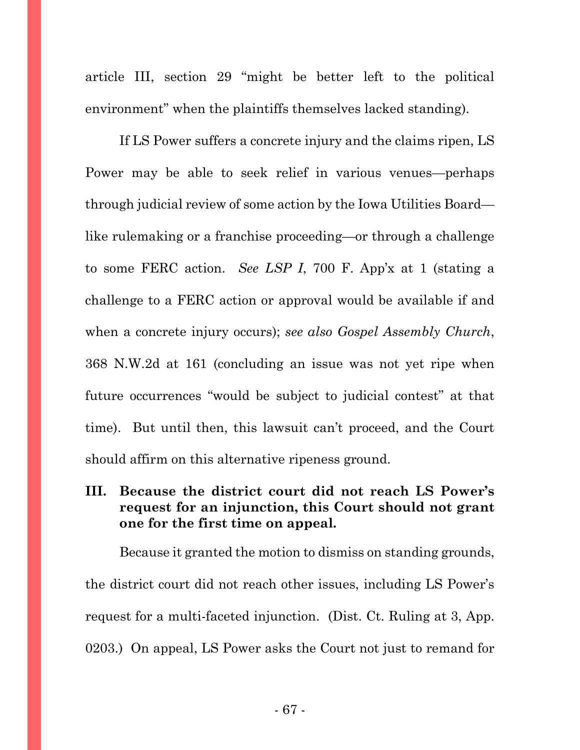article III, section 29 "might be better left to the political environment" when the plaintiffs themselves lacked standing).

If LS Power suffers a concrete injury and the claims ripen, LS Power may be able to seek relief in various venues—perhaps through judicial review of some action by the Iowa Utilities Board like rulemaking or a franchise proceeding—or through a challenge to some FERC action. *See LSP I*, 700 F. App'x at 1 (stating a challenge to a FERC action or approval would be available if and when a concrete injury occurs); *see also Gospel Assembly Church*, 368 N.W.2d at 161 (concluding an issue was not yet ripe when future occurrences "would be subject to judicial contest" at that time). But until then, this lawsuit can't proceed, and the Court should affirm on this alternative ripeness ground.

## **III. Because the district court did not reach LS Power's request for an injunction, this Court should not grant one for the first time on appeal.**

Because it granted the motion to dismiss on standing grounds, the district court did not reach other issues, including LS Power's request for a multi-faceted injunction. (Dist. Ct. Ruling at 3, App. 0203.) On appeal, LS Power asks the Court not just to remand for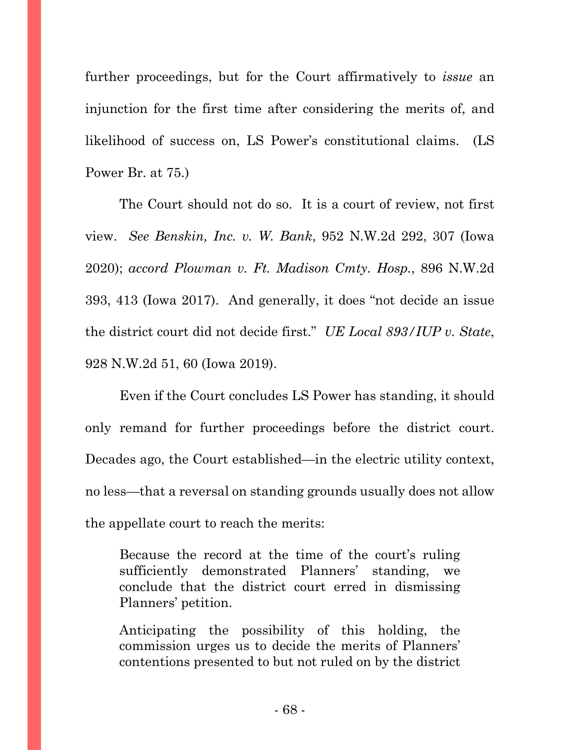further proceedings, but for the Court affirmatively to *issue* an injunction for the first time after considering the merits of, and likelihood of success on, LS Power's constitutional claims. (LS Power Br. at 75.)

The Court should not do so. It is a court of review, not first view. *See Benskin, Inc. v. W. Bank*, 952 N.W.2d 292, 307 (Iowa 2020); *accord Plowman v. Ft. Madison Cmty. Hosp.*, 896 N.W.2d 393, 413 (Iowa 2017). And generally, it does "not decide an issue the district court did not decide first." *UE Local 893/IUP v. State*, 928 N.W.2d 51, 60 (Iowa 2019).

Even if the Court concludes LS Power has standing, it should only remand for further proceedings before the district court. Decades ago, the Court established—in the electric utility context, no less—that a reversal on standing grounds usually does not allow the appellate court to reach the merits:

Because the record at the time of the court's ruling sufficiently demonstrated Planners' standing, we conclude that the district court erred in dismissing Planners' petition.

Anticipating the possibility of this holding, the commission urges us to decide the merits of Planners' contentions presented to but not ruled on by the district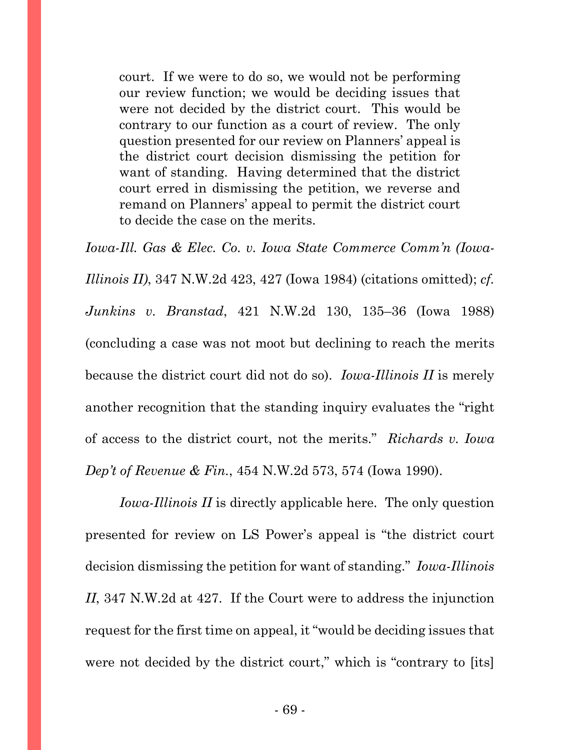court. If we were to do so, we would not be performing our review function; we would be deciding issues that were not decided by the district court. This would be contrary to our function as a court of review. The only question presented for our review on Planners' appeal is the district court decision dismissing the petition for want of standing. Having determined that the district court erred in dismissing the petition, we reverse and remand on Planners' appeal to permit the district court to decide the case on the merits.

*Iowa-Ill. Gas & Elec. Co. v. Iowa State Commerce Comm'n (Iowa-Illinois II)*, 347 N.W.2d 423, 427 (Iowa 1984) (citations omitted); *cf. Junkins v. Branstad*, 421 N.W.2d 130, 135–36 (Iowa 1988) (concluding a case was not moot but declining to reach the merits because the district court did not do so). *Iowa-Illinois II* is merely another recognition that the standing inquiry evaluates the "right of access to the district court, not the merits." *Richards v. Iowa Dep't of Revenue & Fin.*, 454 N.W.2d 573, 574 (Iowa 1990).

*Iowa-Illinois II* is directly applicable here. The only question presented for review on LS Power's appeal is "the district court decision dismissing the petition for want of standing." *Iowa-Illinois II*, 347 N.W.2d at 427. If the Court were to address the injunction request for the first time on appeal, it "would be deciding issues that were not decided by the district court," which is "contrary to [its]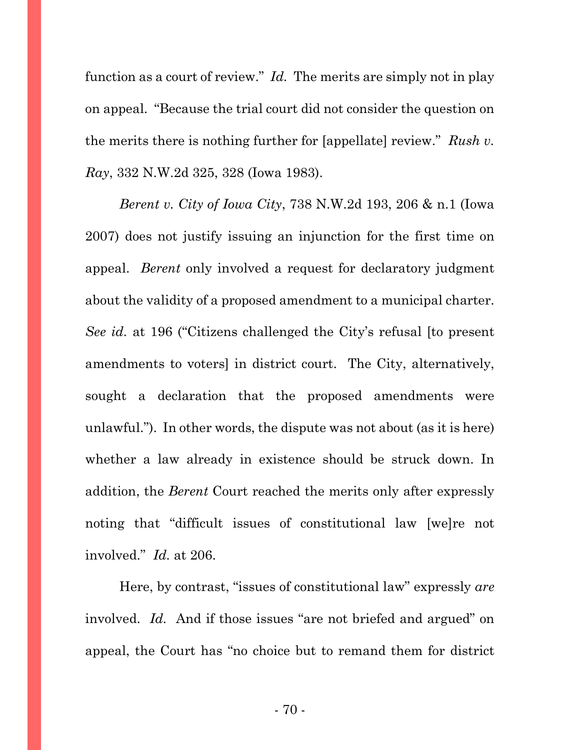function as a court of review." *Id.* The merits are simply not in play on appeal. "Because the trial court did not consider the question on the merits there is nothing further for [appellate] review." *Rush v. Ray*, 332 N.W.2d 325, 328 (Iowa 1983).

*Berent v. City of Iowa City*, 738 N.W.2d 193, 206 & n.1 (Iowa 2007) does not justify issuing an injunction for the first time on appeal. *Berent* only involved a request for declaratory judgment about the validity of a proposed amendment to a municipal charter. *See id.* at 196 ("Citizens challenged the City's refusal [to present amendments to voters] in district court. The City, alternatively, sought a declaration that the proposed amendments were unlawful."). In other words, the dispute was not about (as it is here) whether a law already in existence should be struck down. In addition, the *Berent* Court reached the merits only after expressly noting that "difficult issues of constitutional law [we]re not involved." *Id.* at 206.

Here, by contrast, "issues of constitutional law" expressly *are*  involved. *Id.* And if those issues "are not briefed and argued" on appeal, the Court has "no choice but to remand them for district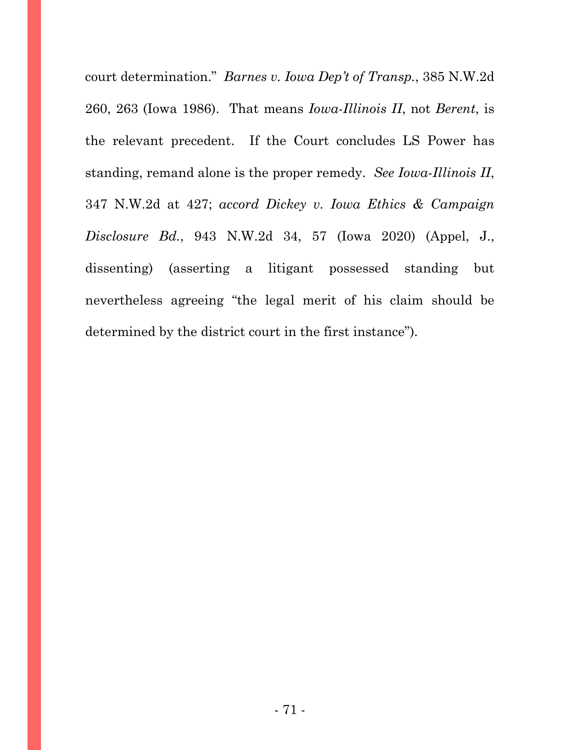court determination." *Barnes v. Iowa Dep't of Transp.*, 385 N.W.2d 260, 263 (Iowa 1986).That means *Iowa-Illinois II*, not *Berent*, is the relevant precedent. If the Court concludes LS Power has standing, remand alone is the proper remedy. *See Iowa-Illinois II*, 347 N.W.2d at 427; *accord Dickey v. Iowa Ethics & Campaign Disclosure Bd.*, 943 N.W.2d 34, 57 (Iowa 2020) (Appel, J., dissenting) (asserting a litigant possessed standing but nevertheless agreeing "the legal merit of his claim should be determined by the district court in the first instance").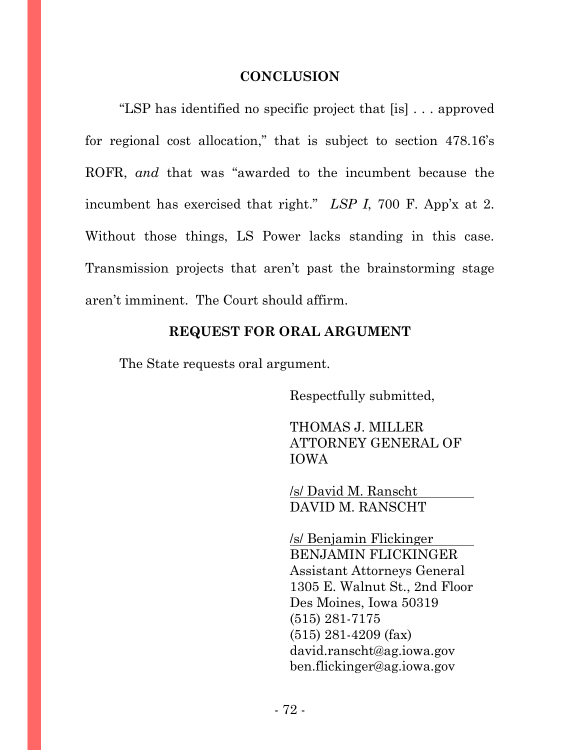## **CONCLUSION**

"LSP has identified no specific project that [is] . . . approved for regional cost allocation," that is subject to section 478.16's ROFR, *and* that was "awarded to the incumbent because the incumbent has exercised that right." *LSP I*, 700 F. App'x at 2. Without those things, LS Power lacks standing in this case. Transmission projects that aren't past the brainstorming stage aren't imminent. The Court should affirm.

## **REQUEST FOR ORAL ARGUMENT**

The State requests oral argument.

Respectfully submitted,

THOMAS J. MILLER ATTORNEY GENERAL OF IOWA

/s/ David M. Ranscht DAVID M. RANSCHT

/s/ Benjamin Flickinger BENJAMIN FLICKINGER Assistant Attorneys General 1305 E. Walnut St., 2nd Floor Des Moines, Iowa 50319 (515) 281-7175 (515) 281-4209 (fax) [david.ranscht@ag.iowa.gov](mailto:david.ranscht@ag.iowa.gov)  [ben.flickinger@ag.iowa.gov](mailto:ben.flickinger@ag.iowa.gov)